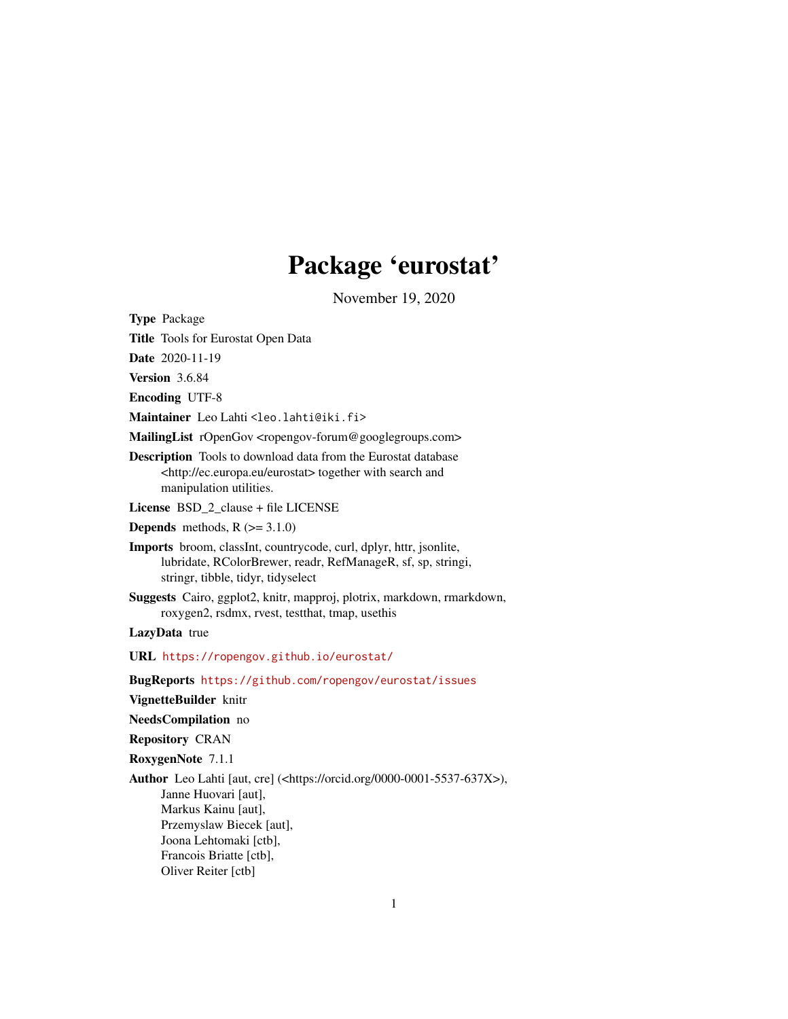# Package 'eurostat'

November 19, 2020

<span id="page-0-0"></span>Type Package

Title Tools for Eurostat Open Data

Date 2020-11-19

Version 3.6.84

Encoding UTF-8

Maintainer Leo Lahti <leo.lahti@iki.fi>

MailingList rOpenGov <ropengov-forum@googlegroups.com>

Description Tools to download data from the Eurostat database <http://ec.europa.eu/eurostat> together with search and manipulation utilities.

License BSD\_2\_clause + file LICENSE

**Depends** methods,  $R$  ( $> = 3.1.0$ )

Imports broom, classInt, countrycode, curl, dplyr, httr, jsonlite, lubridate, RColorBrewer, readr, RefManageR, sf, sp, stringi, stringr, tibble, tidyr, tidyselect

Suggests Cairo, ggplot2, knitr, mapproj, plotrix, markdown, rmarkdown, roxygen2, rsdmx, rvest, testthat, tmap, usethis

LazyData true

URL <https://ropengov.github.io/eurostat/>

BugReports <https://github.com/ropengov/eurostat/issues>

VignetteBuilder knitr

NeedsCompilation no

Repository CRAN

RoxygenNote 7.1.1

Author Leo Lahti [aut, cre] (<https://orcid.org/0000-0001-5537-637X>), Janne Huovari [aut], Markus Kainu [aut], Przemyslaw Biecek [aut], Joona Lehtomaki [ctb], Francois Briatte [ctb],

Oliver Reiter [ctb]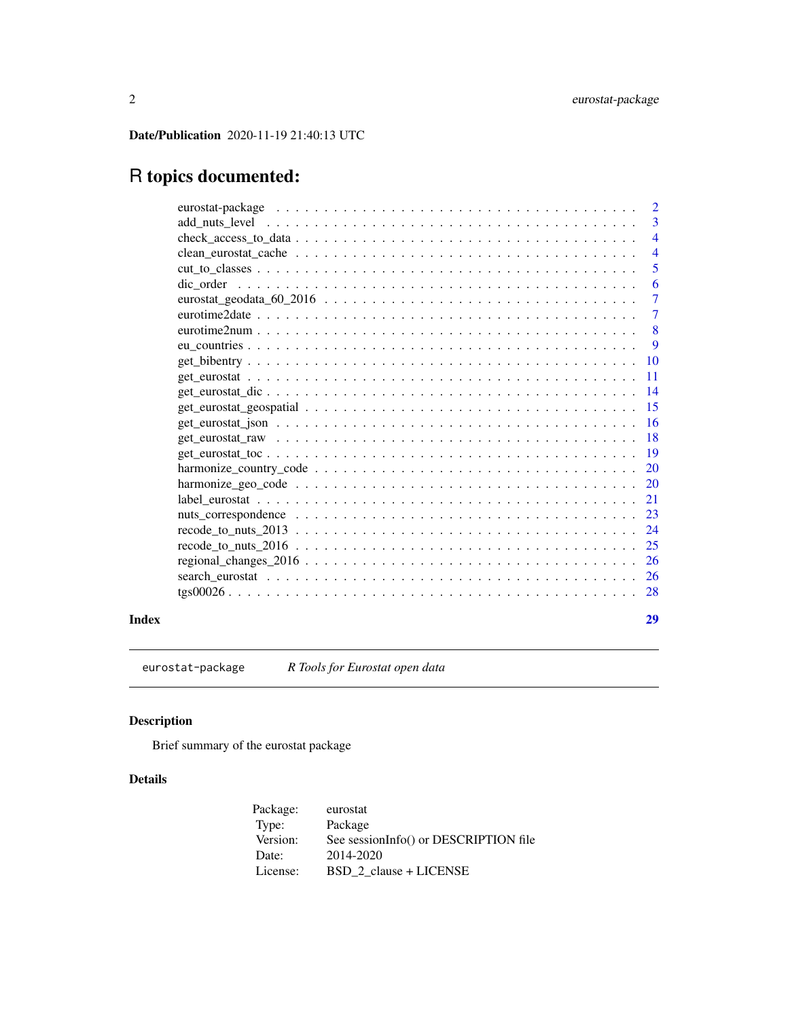<span id="page-1-0"></span>Date/Publication 2020-11-19 21:40:13 UTC

# R topics documented:

|       | $\overline{2}$                                                                                                               |                |
|-------|------------------------------------------------------------------------------------------------------------------------------|----------------|
|       |                                                                                                                              | 3              |
|       |                                                                                                                              | $\overline{4}$ |
|       |                                                                                                                              | $\overline{4}$ |
|       |                                                                                                                              | 5              |
|       |                                                                                                                              | 6              |
|       |                                                                                                                              | $\overline{7}$ |
|       |                                                                                                                              | $\overline{7}$ |
|       | 8                                                                                                                            |                |
|       | -9                                                                                                                           |                |
|       | 10                                                                                                                           |                |
|       | $\overline{11}$                                                                                                              |                |
|       | 14                                                                                                                           |                |
|       | 15                                                                                                                           |                |
|       | 16<br>$get_euvostat_json \dots \dots \dots \dots \dots \dots \dots \dots \dots \dots \dots \dots \dots \dots \dots \dots$    |                |
|       |                                                                                                                              |                |
|       | <sup>19</sup>                                                                                                                |                |
|       |                                                                                                                              |                |
|       | 20                                                                                                                           |                |
|       | 21                                                                                                                           |                |
|       | 23                                                                                                                           |                |
|       | 24<br>$\text{recode_to_nuts_2013} \dots \dots \dots \dots \dots \dots \dots \dots \dots \dots \dots \dots \dots \dots \dots$ |                |
|       |                                                                                                                              |                |
|       | <b>26</b>                                                                                                                    |                |
|       |                                                                                                                              |                |
|       |                                                                                                                              |                |
| Index | 29                                                                                                                           |                |
|       |                                                                                                                              |                |

eurostat-package *R Tools for Eurostat open data*

# Description

Brief summary of the eurostat package

# Details

| Package: | eurostat                              |
|----------|---------------------------------------|
| Type:    | Package                               |
| Version: | See sessionInfo() or DESCRIPTION file |
| Date:    | 2014-2020                             |
| License: | BSD 2 clause + LICENSE                |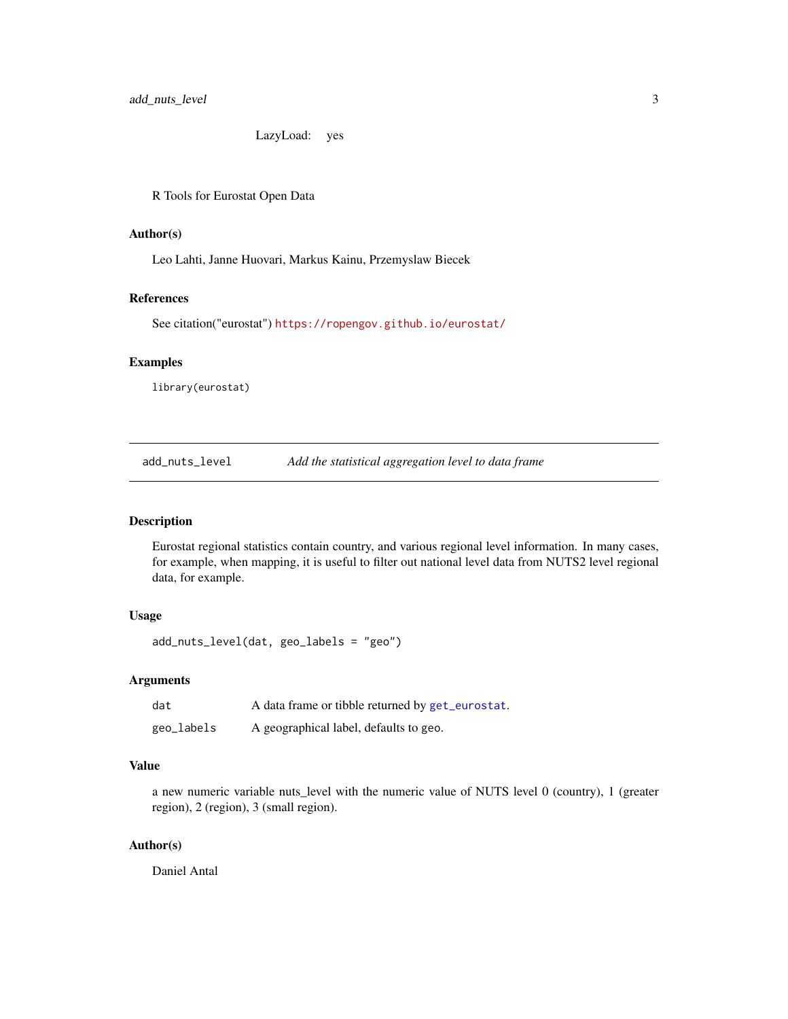LazyLoad: yes

<span id="page-2-0"></span>R Tools for Eurostat Open Data

# Author(s)

Leo Lahti, Janne Huovari, Markus Kainu, Przemyslaw Biecek

# References

See citation("eurostat") <https://ropengov.github.io/eurostat/>

#### Examples

library(eurostat)

add\_nuts\_level *Add the statistical aggregation level to data frame*

# Description

Eurostat regional statistics contain country, and various regional level information. In many cases, for example, when mapping, it is useful to filter out national level data from NUTS2 level regional data, for example.

# Usage

add\_nuts\_level(dat, geo\_labels = "geo")

# Arguments

| dat        | A data frame or tibble returned by get_eurostat. |
|------------|--------------------------------------------------|
| geo_labels | A geographical label, defaults to geo.           |

# Value

a new numeric variable nuts\_level with the numeric value of NUTS level 0 (country), 1 (greater region), 2 (region), 3 (small region).

#### Author(s)

Daniel Antal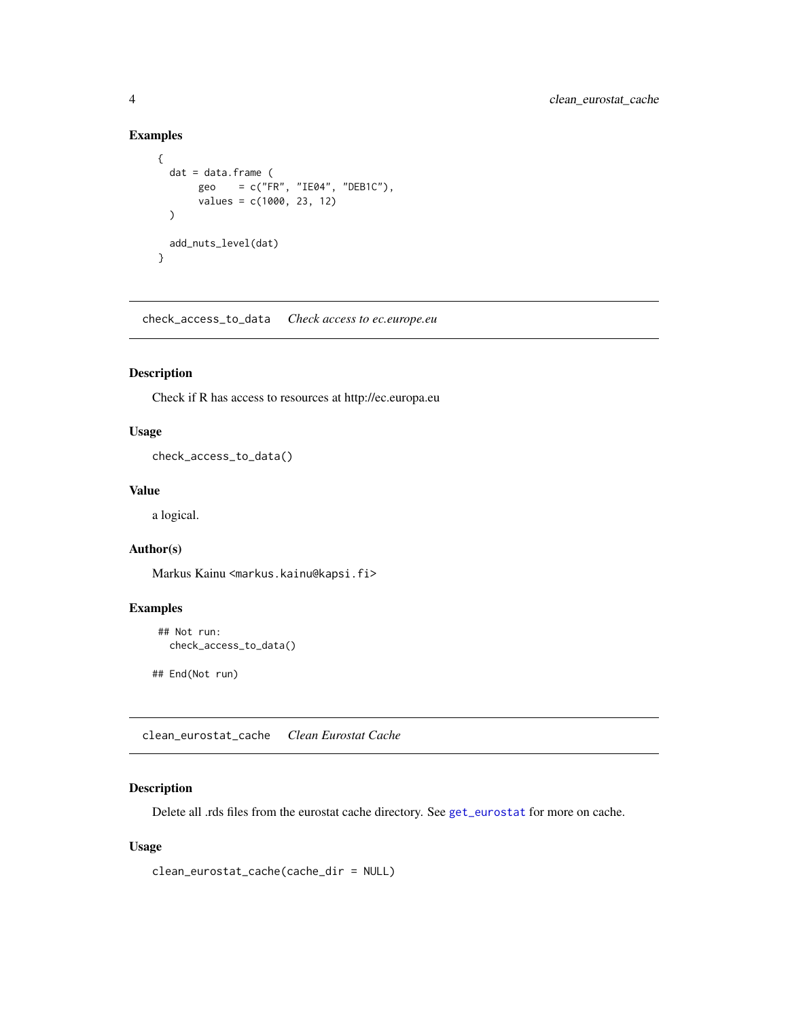# <span id="page-3-0"></span>Examples

```
{
 dat = data.frame (
      geo = c("FR", "IE04", "DEB1C").values = c(1000, 23, 12)
 )
 add_nuts_level(dat)
}
```
check\_access\_to\_data *Check access to ec.europe.eu*

# Description

Check if R has access to resources at http://ec.europa.eu

# Usage

check\_access\_to\_data()

# Value

a logical.

# Author(s)

Markus Kainu <markus.kainu@kapsi.fi>

# Examples

```
## Not run:
 check_access_to_data()
```
## End(Not run)

<span id="page-3-1"></span>clean\_eurostat\_cache *Clean Eurostat Cache*

# Description

Delete all .rds files from the eurostat cache directory. See [get\\_eurostat](#page-10-1) for more on cache.

# Usage

```
clean_eurostat_cache(cache_dir = NULL)
```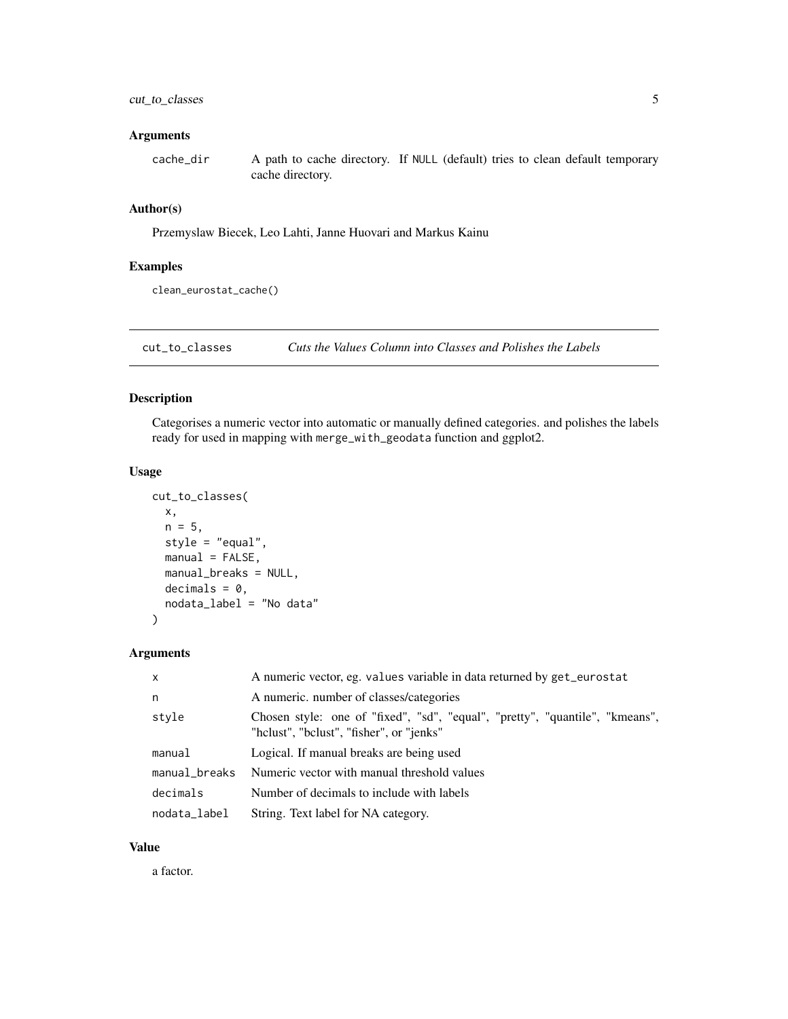#### <span id="page-4-0"></span>Arguments

cache\_dir A path to cache directory. If NULL (default) tries to clean default temporary cache directory.

# Author(s)

Przemyslaw Biecek, Leo Lahti, Janne Huovari and Markus Kainu

#### Examples

clean\_eurostat\_cache()

cut\_to\_classes *Cuts the Values Column into Classes and Polishes the Labels*

# Description

Categorises a numeric vector into automatic or manually defined categories. and polishes the labels ready for used in mapping with merge\_with\_geodata function and ggplot2.

#### Usage

```
cut_to_classes(
 x,
 n = 5,
  style = "equal",
 manual = FALSE,manual_breaks = NULL,
 decimals = 0,nodata_label = "No data"
)
```
# Arguments

| $\mathsf{x}$  | A numeric vector, eg. values variable in data returned by get_eurostat                                                   |
|---------------|--------------------------------------------------------------------------------------------------------------------------|
| n.            | A numeric. number of classes/categories                                                                                  |
| style         | Chosen style: one of "fixed", "sd", "equal", "pretty", "quantile", "kmeans",<br>"hclust", "bclust", "fisher", or "jenks" |
| manual        | Logical. If manual breaks are being used                                                                                 |
| manual_breaks | Numeric vector with manual threshold values                                                                              |
| decimals      | Number of decimals to include with labels                                                                                |
| nodata_label  | String. Text label for NA category.                                                                                      |

#### Value

a factor.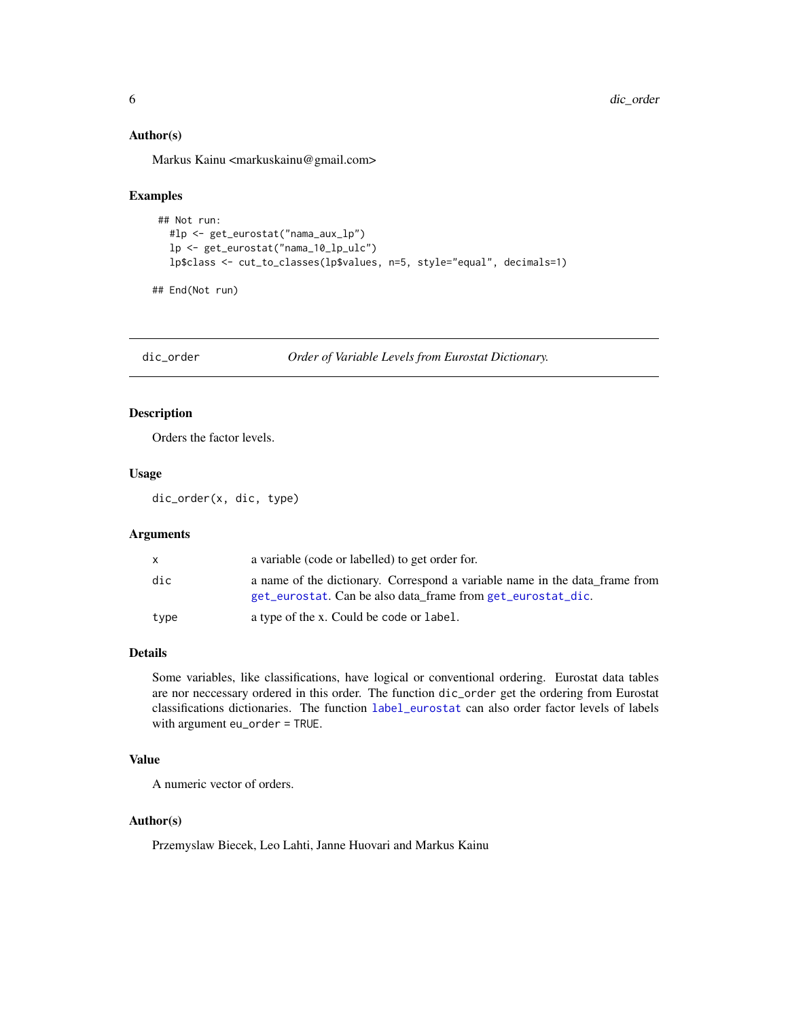#### <span id="page-5-0"></span>Author(s)

Markus Kainu <markuskainu@gmail.com>

#### Examples

```
## Not run:
  #lp <- get_eurostat("nama_aux_lp")
  lp <- get_eurostat("nama_10_lp_ulc")
  lp$class <- cut_to_classes(lp$values, n=5, style="equal", decimals=1)
```
## End(Not run)

dic\_order *Order of Variable Levels from Eurostat Dictionary.*

# Description

Orders the factor levels.

# Usage

dic\_order(x, dic, type)

# Arguments

| x    | a variable (code or labelled) to get order for.                                                                                            |
|------|--------------------------------------------------------------------------------------------------------------------------------------------|
| dic  | a name of the dictionary. Correspond a variable name in the data frame from<br>get_eurostat. Can be also data frame from get_eurostat_dic. |
| type | a type of the x. Could be code or label.                                                                                                   |

#### Details

Some variables, like classifications, have logical or conventional ordering. Eurostat data tables are nor neccessary ordered in this order. The function dic\_order get the ordering from Eurostat classifications dictionaries. The function [label\\_eurostat](#page-20-1) can also order factor levels of labels with argument eu\_order = TRUE.

# Value

A numeric vector of orders.

#### Author(s)

Przemyslaw Biecek, Leo Lahti, Janne Huovari and Markus Kainu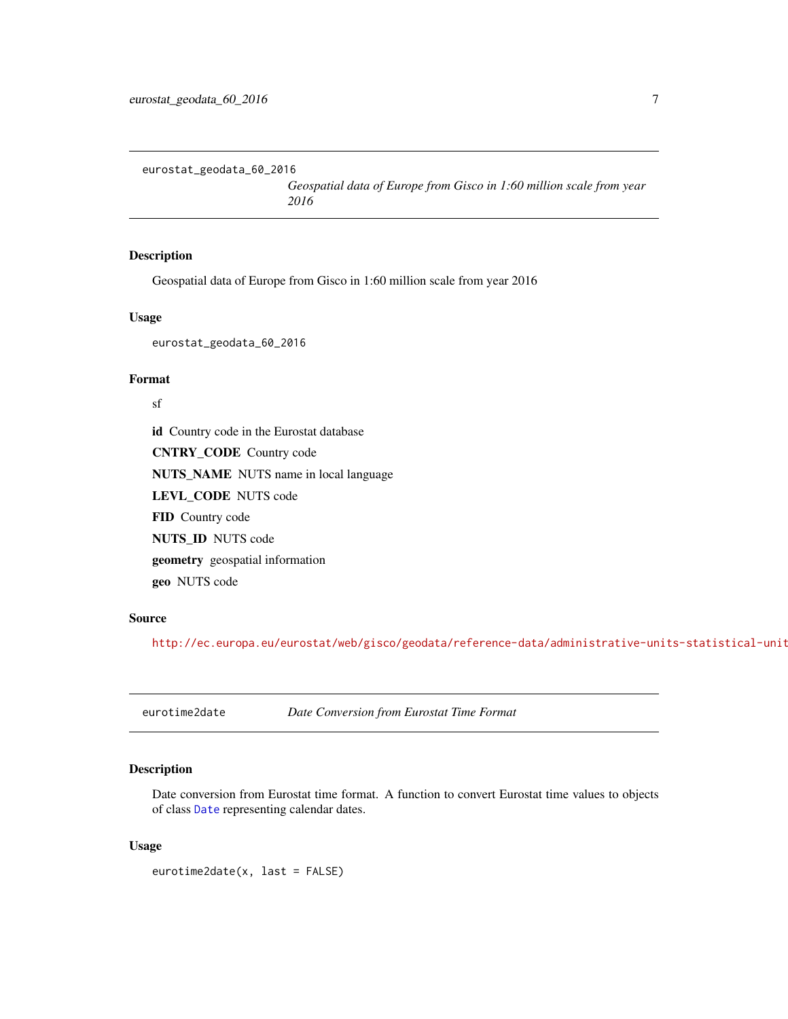<span id="page-6-0"></span>eurostat\_geodata\_60\_2016

*Geospatial data of Europe from Gisco in 1:60 million scale from year 2016*

# Description

Geospatial data of Europe from Gisco in 1:60 million scale from year 2016

# Usage

eurostat\_geodata\_60\_2016

## Format

sf

id Country code in the Eurostat database CNTRY\_CODE Country code NUTS\_NAME NUTS name in local language LEVL\_CODE NUTS code FID Country code NUTS\_ID NUTS code geometry geospatial information geo NUTS code

#### Source

<http://ec.europa.eu/eurostat/web/gisco/geodata/reference-data/administrative-units-statistical-units>

<span id="page-6-1"></span>eurotime2date *Date Conversion from Eurostat Time Format*

## Description

Date conversion from Eurostat time format. A function to convert Eurostat time values to objects of class [Date](#page-0-0) representing calendar dates.

#### Usage

eurotime2date(x, last = FALSE)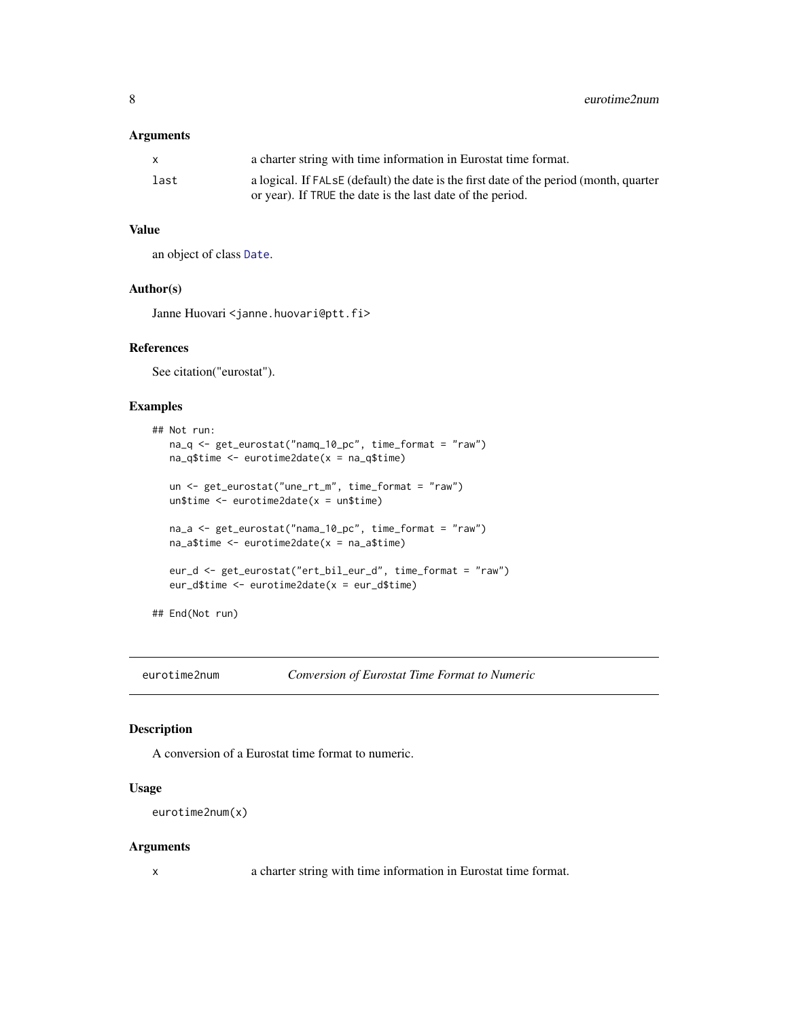#### <span id="page-7-0"></span>Arguments

|      | a charter string with time information in Eurostat time format.                        |
|------|----------------------------------------------------------------------------------------|
| last | a logical. If FALSE (default) the date is the first date of the period (month, quarter |
|      | or year). If TRUE the date is the last date of the period.                             |

#### Value

an object of class [Date](#page-0-0).

# Author(s)

Janne Huovari <janne.huovari@ptt.fi>

# References

See citation("eurostat").

#### Examples

```
## Not run:
  na_q <- get_eurostat("namq_10_pc", time_format = "raw")
  na_q$time <- eurotime2date(x = na_q$time)
  un <- get_eurostat("une_rt_m", time_format = "raw")
  un$time <- eurotime2date(x = un$time)
  na_a <- get_eurostat("nama_10_pc", time_format = "raw")
  na_a$time <- eurotime2date(x = na_a$time)
  eur_d <- get_eurostat("ert_bil_eur_d", time_format = "raw")
  eur_d$time <- eurotime2date(x = eur_d$time)
## End(Not run)
```
<span id="page-7-1"></span>

eurotime2num *Conversion of Eurostat Time Format to Numeric*

# Description

A conversion of a Eurostat time format to numeric.

#### Usage

```
eurotime2num(x)
```
#### Arguments

x a charter string with time information in Eurostat time format.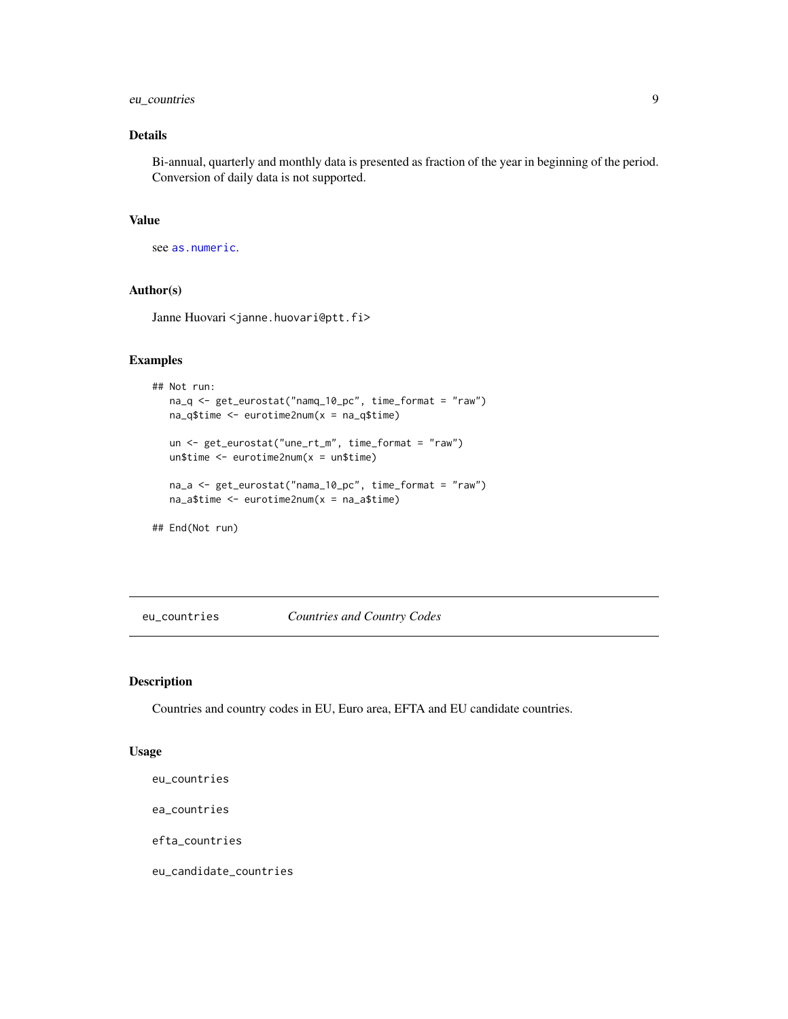# <span id="page-8-0"></span>eu\_countries 9

# Details

Bi-annual, quarterly and monthly data is presented as fraction of the year in beginning of the period. Conversion of daily data is not supported.

# Value

see [as.numeric](#page-0-0).

# Author(s)

Janne Huovari <janne.huovari@ptt.fi>

# Examples

```
## Not run:
  na_q <- get_eurostat("namq_10_pc", time_format = "raw")
  na_q$time <- eurotime2num(x = na_q$time)
  un <- get_eurostat("une_rt_m", time_format = "raw")
  un$time <- eurotime2num(x = un$time)
  na_a <- get_eurostat("nama_10_pc", time_format = "raw")
  na_a$time <- eurotime2num(x = na_a$time)
## End(Not run)
```
eu\_countries *Countries and Country Codes*

#### Description

Countries and country codes in EU, Euro area, EFTA and EU candidate countries.

#### Usage

eu\_countries

ea\_countries

efta\_countries

eu\_candidate\_countries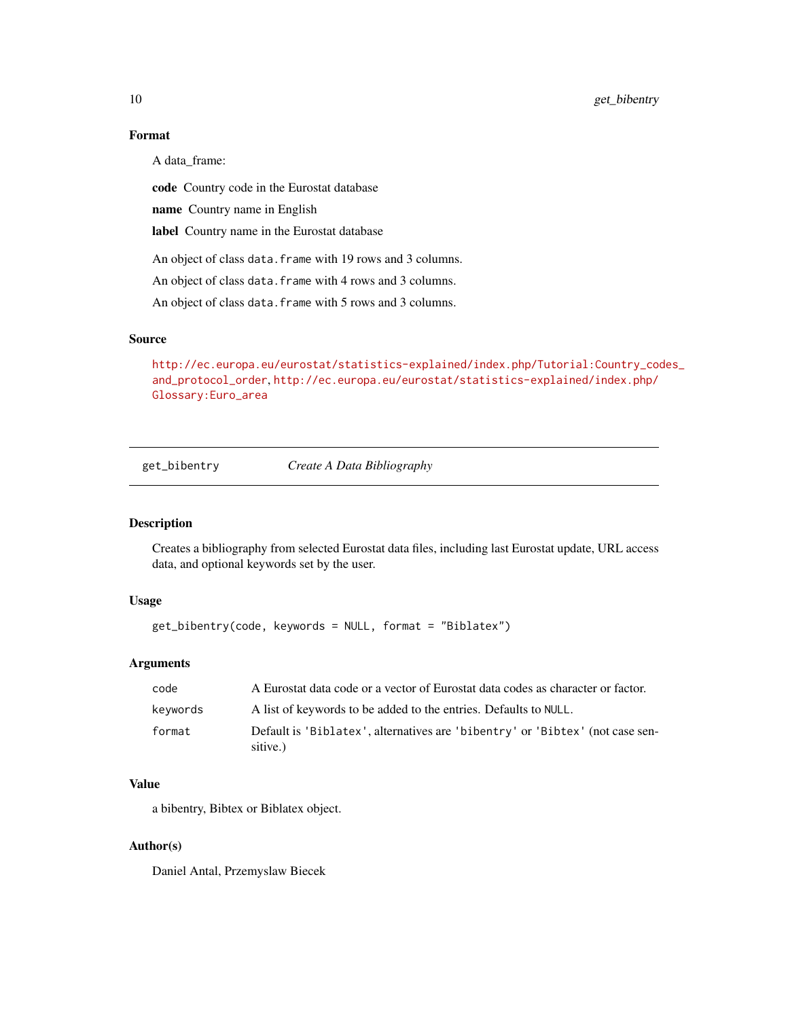# Format

A data\_frame:

code Country code in the Eurostat database

name Country name in English

label Country name in the Eurostat database

An object of class data. frame with 19 rows and 3 columns.

An object of class data. frame with 4 rows and 3 columns.

An object of class data. frame with 5 rows and 3 columns.

#### Source

[http://ec.europa.eu/eurostat/statistics-explained/index.php/Tutorial:Country\\_cod](http://ec.europa.eu/eurostat/statistics-explained/index.php/Tutorial:Country_codes_and_protocol_order)es\_ [and\\_protocol\\_order](http://ec.europa.eu/eurostat/statistics-explained/index.php/Tutorial:Country_codes_and_protocol_order), [http://ec.europa.eu/eurostat/statistics-explained/index.php/](http://ec.europa.eu/eurostat/statistics-explained/index.php/Glossary:Euro_area) [Glossary:Euro\\_area](http://ec.europa.eu/eurostat/statistics-explained/index.php/Glossary:Euro_area)

get\_bibentry *Create A Data Bibliography*

# Description

Creates a bibliography from selected Eurostat data files, including last Eurostat update, URL access data, and optional keywords set by the user.

# Usage

get\_bibentry(code, keywords = NULL, format = "Biblatex")

#### Arguments

| code     | A Eurostat data code or a vector of Eurostat data codes as character or factor.          |
|----------|------------------------------------------------------------------------------------------|
| keywords | A list of keywords to be added to the entries. Defaults to NULL.                         |
| format   | Default is 'Biblatex', alternatives are 'bibentry' or 'Bibtex' (not case sen-<br>sitive. |

# Value

a bibentry, Bibtex or Biblatex object.

#### Author(s)

Daniel Antal, Przemyslaw Biecek

<span id="page-9-0"></span>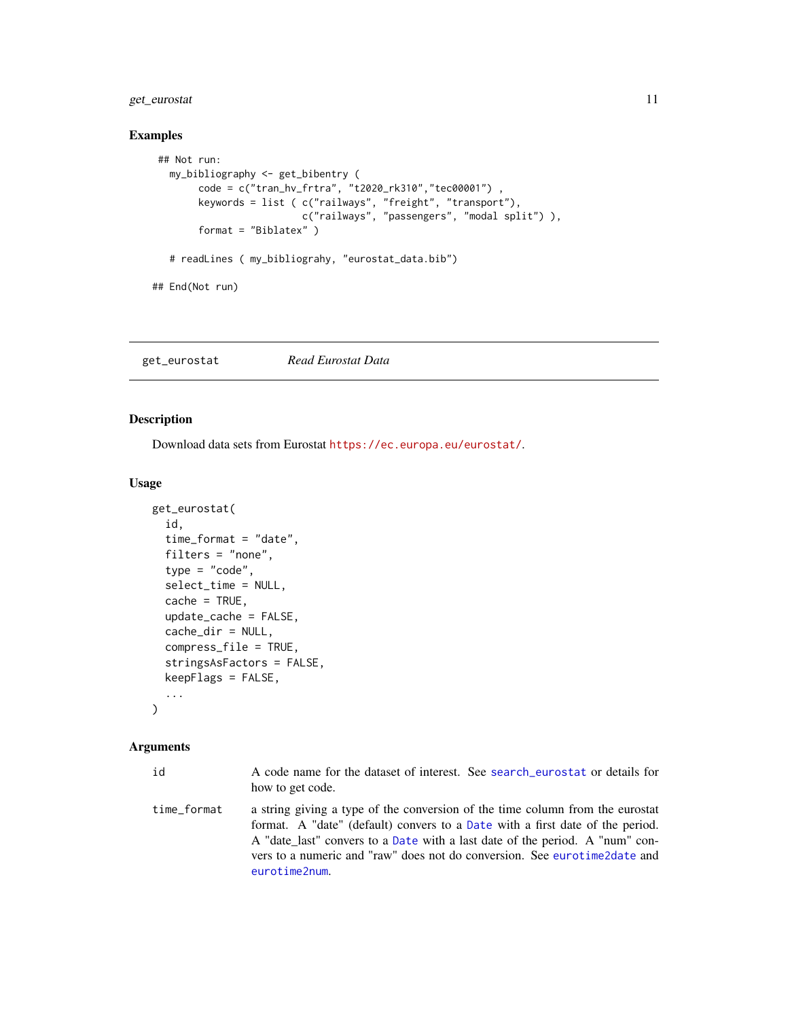# <span id="page-10-0"></span>get\_eurostat 11

# Examples

```
## Not run:
  my_bibliography <- get_bibentry (
       code = c("tran_hv_frtra", "t2020_rk310","tec00001") ,
        keywords = list ( c("railways", "freight", "transport"),
                          c("railways", "passengers", "modal split") ),
        format = "Biblatex" )
  # readLines ( my_bibliograhy, "eurostat_data.bib")
## End(Not run)
```
<span id="page-10-1"></span>get\_eurostat *Read Eurostat Data*

## Description

Download data sets from Eurostat <https://ec.europa.eu/eurostat/>.

#### Usage

```
get_eurostat(
  id,
  time_format = "date",
 filters = "none",
  type = "code",select_time = NULL,
  cache = TRUE,update_cache = FALSE,
  cache_dir = NULL,
  compress_file = TRUE,
  stringsAsFactors = FALSE,
 keepFlags = FALSE,
  ...
)
```
#### Arguments

| id          | A code name for the dataset of interest. See search eurostat or details for<br>how to get code.                                                                                                                                                                                                                                              |
|-------------|----------------------------------------------------------------------------------------------------------------------------------------------------------------------------------------------------------------------------------------------------------------------------------------------------------------------------------------------|
| time format | a string giving a type of the conversion of the time column from the eurostat<br>format. A "date" (default) convers to a Date with a first date of the period.<br>A "date_last" convers to a Date with a last date of the period. A "num" con-<br>vers to a numeric and "raw" does not do conversion. See eurotime2date and<br>eurotime2num. |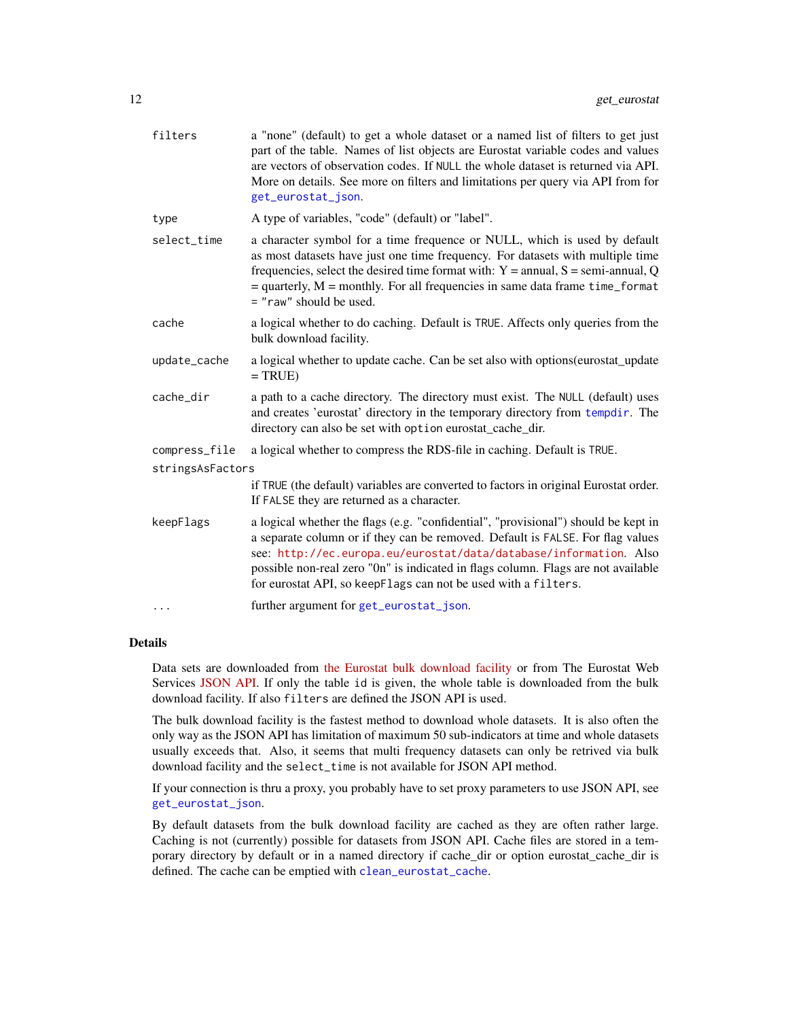<span id="page-11-0"></span>

| filters          | a "none" (default) to get a whole dataset or a named list of filters to get just<br>part of the table. Names of list objects are Eurostat variable codes and values<br>are vectors of observation codes. If NULL the whole dataset is returned via API.<br>More on details. See more on filters and limitations per query via API from for<br>get_eurostat_json.                                 |
|------------------|--------------------------------------------------------------------------------------------------------------------------------------------------------------------------------------------------------------------------------------------------------------------------------------------------------------------------------------------------------------------------------------------------|
| type             | A type of variables, "code" (default) or "label".                                                                                                                                                                                                                                                                                                                                                |
| select_time      | a character symbol for a time frequence or NULL, which is used by default<br>as most datasets have just one time frequency. For datasets with multiple time<br>frequencies, select the desired time format with: $Y =$ annual, $S =$ semi-annual, Q<br>$=$ quarterly, $M =$ monthly. For all frequencies in same data frame time_format<br>= "raw" should be used.                               |
| cache            | a logical whether to do caching. Default is TRUE. Affects only queries from the<br>bulk download facility.                                                                                                                                                                                                                                                                                       |
| update_cache     | a logical whether to update cache. Can be set also with options (eurostat_update<br>$= TRUE$                                                                                                                                                                                                                                                                                                     |
| cache_dir        | a path to a cache directory. The directory must exist. The NULL (default) uses<br>and creates 'eurostat' directory in the temporary directory from tempdir. The<br>directory can also be set with option eurostat_cache_dir.                                                                                                                                                                     |
| compress_file    | a logical whether to compress the RDS-file in caching. Default is TRUE.                                                                                                                                                                                                                                                                                                                          |
| stringsAsFactors |                                                                                                                                                                                                                                                                                                                                                                                                  |
|                  | if TRUE (the default) variables are converted to factors in original Eurostat order.<br>If FALSE they are returned as a character.                                                                                                                                                                                                                                                               |
| keepFlags        | a logical whether the flags (e.g. "confidential", "provisional") should be kept in<br>a separate column or if they can be removed. Default is FALSE. For flag values<br>see: http://ec.europa.eu/eurostat/data/database/information. Also<br>possible non-real zero "On" is indicated in flags column. Flags are not available<br>for eurostat API, so keepFlags can not be used with a filters. |
| $\cdots$         | further argument for get_eurostat_json.                                                                                                                                                                                                                                                                                                                                                          |

#### Details

Data sets are downloaded from [the Eurostat bulk download facility](http://ec.europa.eu/eurostat/estat-navtree-portlet-prod/BulkDownloadListing) or from The Eurostat Web Services [JSON API.](http://ec.europa.eu/eurostat/web/json-and-unicode-web-services) If only the table id is given, the whole table is downloaded from the bulk download facility. If also filters are defined the JSON API is used.

The bulk download facility is the fastest method to download whole datasets. It is also often the only way as the JSON API has limitation of maximum 50 sub-indicators at time and whole datasets usually exceeds that. Also, it seems that multi frequency datasets can only be retrived via bulk download facility and the select\_time is not available for JSON API method.

If your connection is thru a proxy, you probably have to set proxy parameters to use JSON API, see [get\\_eurostat\\_json](#page-15-1).

By default datasets from the bulk download facility are cached as they are often rather large. Caching is not (currently) possible for datasets from JSON API. Cache files are stored in a temporary directory by default or in a named directory if cache\_dir or option eurostat\_cache\_dir is defined. The cache can be emptied with [clean\\_eurostat\\_cache](#page-3-1).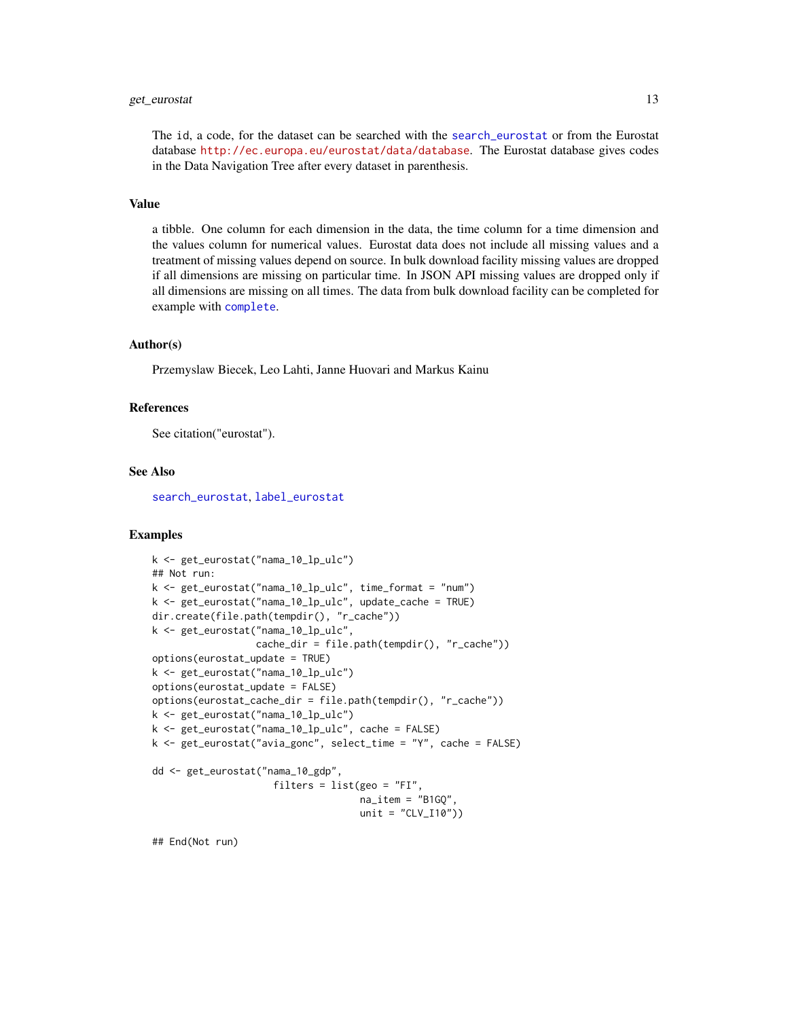#### <span id="page-12-0"></span>get\_eurostat 13

The id, a code, for the dataset can be searched with the [search\\_eurostat](#page-25-1) or from the Eurostat database <http://ec.europa.eu/eurostat/data/database>. The Eurostat database gives codes in the Data Navigation Tree after every dataset in parenthesis.

## Value

a tibble. One column for each dimension in the data, the time column for a time dimension and the values column for numerical values. Eurostat data does not include all missing values and a treatment of missing values depend on source. In bulk download facility missing values are dropped if all dimensions are missing on particular time. In JSON API missing values are dropped only if all dimensions are missing on all times. The data from bulk download facility can be completed for example with [complete](#page-0-0).

#### Author(s)

Przemyslaw Biecek, Leo Lahti, Janne Huovari and Markus Kainu

#### References

See citation("eurostat").

#### See Also

[search\\_eurostat](#page-25-1), [label\\_eurostat](#page-20-1)

#### Examples

```
k <- get_eurostat("nama_10_lp_ulc")
## Not run:
k <- get_eurostat("nama_10_lp_ulc", time_format = "num")
k <- get_eurostat("nama_10_lp_ulc", update_cache = TRUE)
dir.create(file.path(tempdir(), "r_cache"))
k <- get_eurostat("nama_10_lp_ulc",
                  cache_dir = file.path(tempdir(), "r_cache"))
options(eurostat_update = TRUE)
k <- get_eurostat("nama_10_lp_ulc")
options(eurostat_update = FALSE)
options(eurostat_cache_dir = file.path(tempdir(), "r_cache"))
k <- get_eurostat("nama_10_lp_ulc")
k <- get_eurostat("nama_10_lp_ulc", cache = FALSE)
k <- get_eurostat("avia_gonc", select_time = "Y", cache = FALSE)
dd <- get_eurostat("nama_10_gdp",
                     filters = list(geo = "FI",
                                   na_item = "B1GQ",
                                    unit = "CLV_110")
```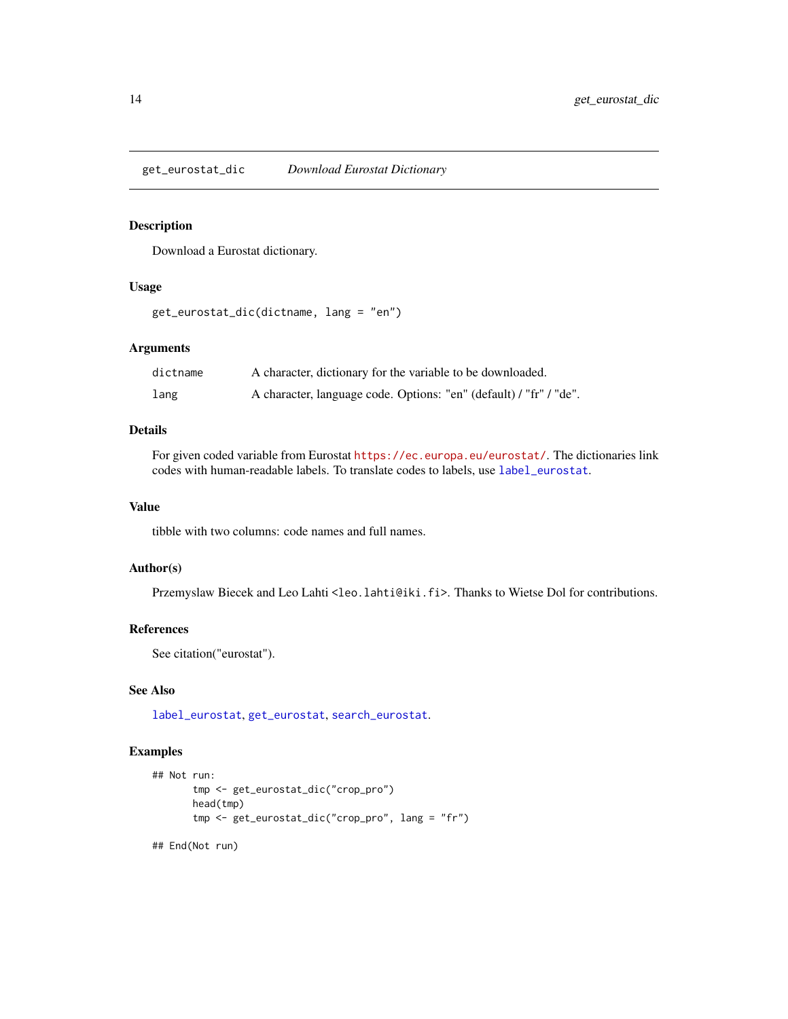<span id="page-13-1"></span><span id="page-13-0"></span>get\_eurostat\_dic *Download Eurostat Dictionary*

# Description

Download a Eurostat dictionary.

# Usage

```
get_eurostat_dic(dictname, lang = "en")
```
# Arguments

| dictname | A character, dictionary for the variable to be downloaded.         |
|----------|--------------------------------------------------------------------|
| lang     | A character, language code. Options: "en" (default) / "fr" / "de". |

#### Details

For given coded variable from Eurostat <https://ec.europa.eu/eurostat/>. The dictionaries link codes with human-readable labels. To translate codes to labels, use [label\\_eurostat](#page-20-1).

# Value

tibble with two columns: code names and full names.

# Author(s)

Przemyslaw Biecek and Leo Lahti<leo.lahti@iki.fi>. Thanks to Wietse Dol for contributions.

# References

See citation("eurostat").

# See Also

[label\\_eurostat](#page-20-1), [get\\_eurostat](#page-10-1), [search\\_eurostat](#page-25-1).

# Examples

```
## Not run:
      tmp <- get_eurostat_dic("crop_pro")
      head(tmp)
      tmp <- get_eurostat_dic("crop_pro", lang = "fr")
## End(Not run)
```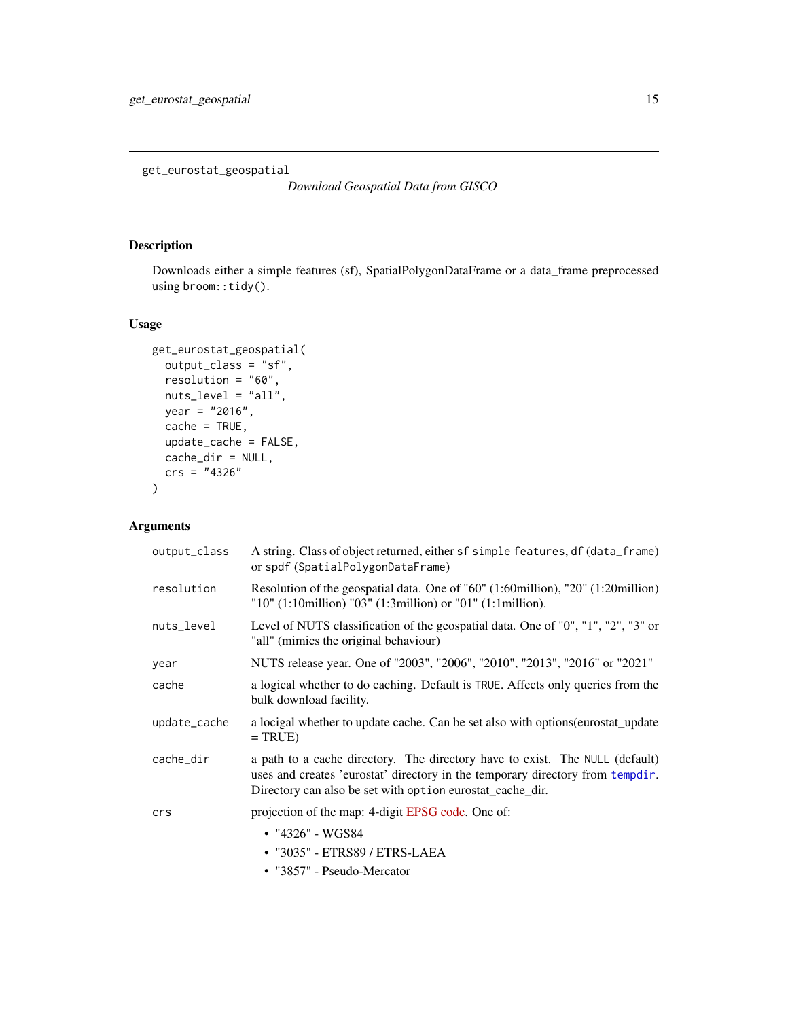<span id="page-14-0"></span>get\_eurostat\_geospatial

*Download Geospatial Data from GISCO*

# Description

Downloads either a simple features (sf), SpatialPolygonDataFrame or a data\_frame preprocessed using broom::tidy().

# Usage

```
get_eurostat_geospatial(
 output_class = "sf",
 resolution = "60",
 nuts_level = "all",
 year = "2016",
 cache = TRUE,update_cache = FALSE,
 cache_dir = NULL,
 crs = "4326"
)
```
# Arguments

| output_class | A string. Class of object returned, either sf simple features, df (data_frame)<br>or spdf (SpatialPolygonDataFrame)                                                                                                         |
|--------------|-----------------------------------------------------------------------------------------------------------------------------------------------------------------------------------------------------------------------------|
| resolution   | Resolution of the geospatial data. One of "60" (1:60million), "20" (1:20million)<br>"10" $(1:10$ million) "03" $(1:3$ million) or "01" $(1:1$ million).                                                                     |
| nuts_level   | Level of NUTS classification of the geospatial data. One of "0", "1", "2", "3" or<br>"all" (mimics the original behaviour)                                                                                                  |
| year         | NUTS release year. One of "2003", "2006", "2010", "2013", "2016" or "2021"                                                                                                                                                  |
| cache        | a logical whether to do caching. Default is TRUE. Affects only queries from the<br>bulk download facility.                                                                                                                  |
| update_cache | a locigal whether to update cache. Can be set also with options (eurostat_update<br>$= TRUE$                                                                                                                                |
| cache_dir    | a path to a cache directory. The directory have to exist. The NULL (default)<br>uses and creates 'eurostat' directory in the temporary directory from tempdir.<br>Directory can also be set with option eurostat_cache_dir. |
| crs          | projection of the map: 4-digit EPSG code. One of:                                                                                                                                                                           |
|              | $\cdot$ "4326" - WGS84                                                                                                                                                                                                      |
|              | • "3035" - ETRS89 / ETRS-LAEA                                                                                                                                                                                               |
|              | • "3857" - Pseudo-Mercator                                                                                                                                                                                                  |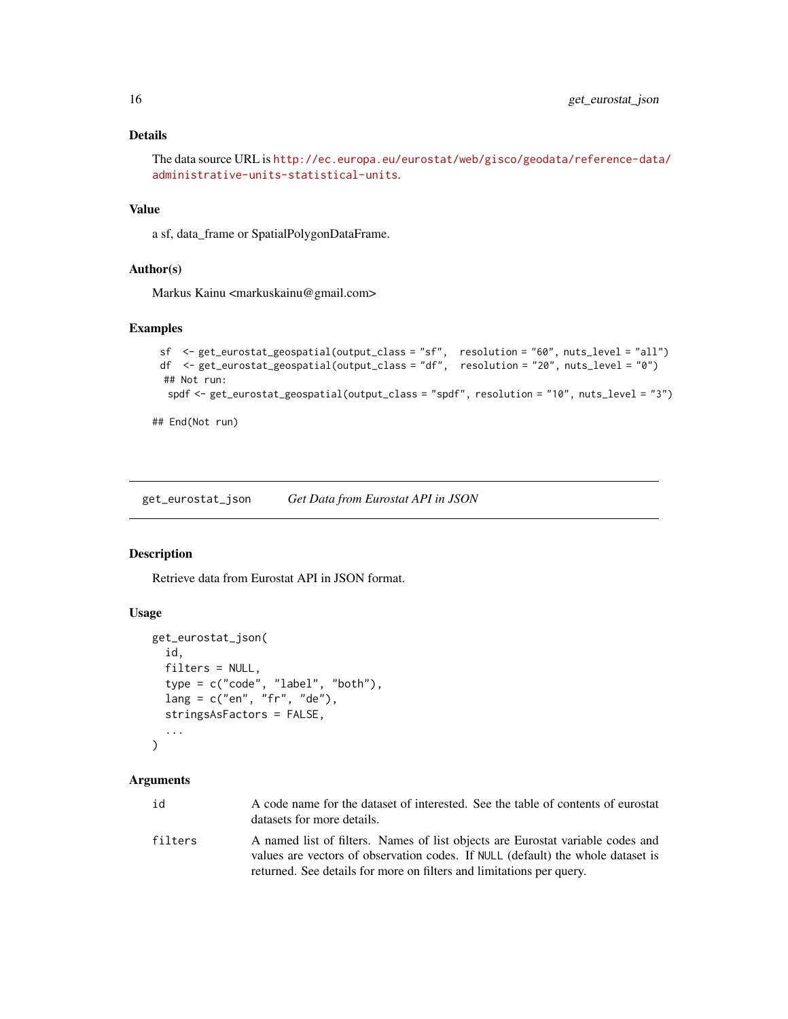# <span id="page-15-0"></span>Details

```
The data source URL is http://ec.europa.eu/eurostat/web/gisco/geodata/reference-data/
administrative-units-statistical-units.
```
#### Value

a sf, data\_frame or SpatialPolygonDataFrame.

# Author(s)

Markus Kainu <markuskainu@gmail.com>

#### Examples

```
sf <- get_eurostat_geospatial(output_class = "sf", resolution = "60", nuts_level = "all")
 df <- get_eurostat_geospatial(output_class = "df", resolution = "20", nuts_level = "0")
 ## Not run:
  spdf <- get_eurostat_geospatial(output_class = "spdf", resolution = "10", nuts_level = "3")
## End(Not run)
```
<span id="page-15-1"></span>get\_eurostat\_json *Get Data from Eurostat API in JSON*

#### Description

Retrieve data from Eurostat API in JSON format.

#### Usage

```
get_eurostat_json(
  id,
  filter = NULL,type = c("code", "label", "both"),
  lang = c("en", "fr", "de"),
  stringsAsFactors = FALSE,
  ...
\lambda
```
#### Arguments

| id      | A code name for the dataset of interested. See the table of contents of eurostat<br>datasets for more details.                                                                                                                                                                                                                                                                                |
|---------|-----------------------------------------------------------------------------------------------------------------------------------------------------------------------------------------------------------------------------------------------------------------------------------------------------------------------------------------------------------------------------------------------|
| filters | A named list of filters. Names of list objects are Eurostat variable codes and<br>$\mathbf{A}$ , $\mathbf{A}$ , $\mathbf{A}$ , $\mathbf{A}$ , $\mathbf{A}$ , $\mathbf{A}$ , $\mathbf{A}$ , $\mathbf{A}$ , $\mathbf{A}$ , $\mathbf{A}$ , $\mathbf{A}$ , $\mathbf{A}$ , $\mathbf{A}$ , $\mathbf{A}$ , $\mathbf{A}$ , $\mathbf{A}$ , $\mathbf{A}$ , $\mathbf{A}$ , $\mathbf{A}$ , $\mathbf{A}$ , |

values are vectors of observation codes. If NULL (default) the whole dataset is returned. See details for more on filters and limitations per query.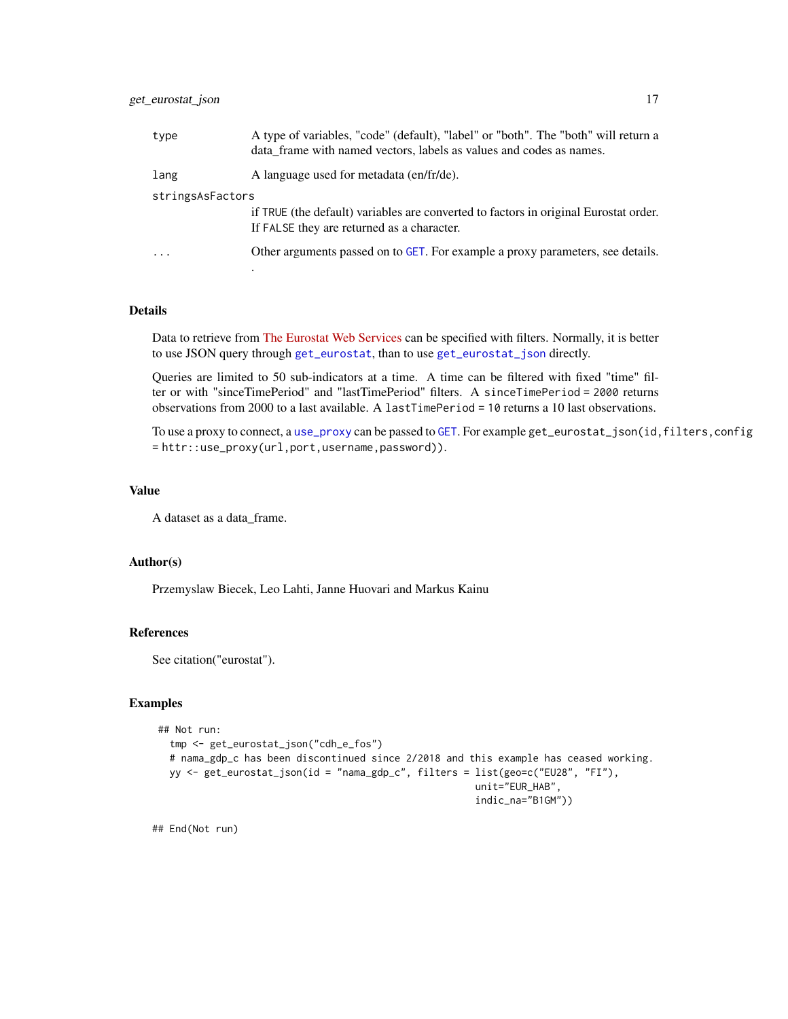<span id="page-16-0"></span>

| type                    | A type of variables, "code" (default), "label" or "both". The "both" will return a<br>data frame with named vectors, labels as values and codes as names. |  |
|-------------------------|-----------------------------------------------------------------------------------------------------------------------------------------------------------|--|
| lang                    | A language used for metadata (en/fr/de).                                                                                                                  |  |
| stringsAsFactors        |                                                                                                                                                           |  |
|                         | if TRUE (the default) variables are converted to factors in original Eurostat order.<br>If FALSE they are returned as a character.                        |  |
| $\cdot$ $\cdot$ $\cdot$ | Other arguments passed on to GET. For example a proxy parameters, see details.                                                                            |  |
|                         |                                                                                                                                                           |  |

# Details

Data to retrieve from [The Eurostat Web Services](http://ec.europa.eu/eurostat/web/json-and-unicode-web-services) can be specified with filters. Normally, it is better to use JSON query through [get\\_eurostat](#page-10-1), than to use [get\\_eurostat\\_json](#page-15-1) directly.

Queries are limited to 50 sub-indicators at a time. A time can be filtered with fixed "time" filter or with "sinceTimePeriod" and "lastTimePeriod" filters. A sinceTimePeriod = 2000 returns observations from 2000 to a last available. A lastTimePeriod = 10 returns a 10 last observations.

To use a proxy to connect, a [use\\_proxy](#page-0-0) can be passed to [GET](#page-0-0). For example get\_eurostat\_json(id,filters,config = httr::use\_proxy(url,port,username,password)).

## Value

A dataset as a data\_frame.

#### Author(s)

Przemyslaw Biecek, Leo Lahti, Janne Huovari and Markus Kainu

#### References

See citation("eurostat").

#### Examples

```
## Not run:
  tmp <- get_eurostat_json("cdh_e_fos")
  # nama_gdp_c has been discontinued since 2/2018 and this example has ceased working.
  yy <- get_eurostat_json(id = "nama_gdp_c", filters = list(geo=c("EU28", "FI"),
                                                       unit="EUR_HAB",
                                                       indic_na="B1GM"))
```
## End(Not run)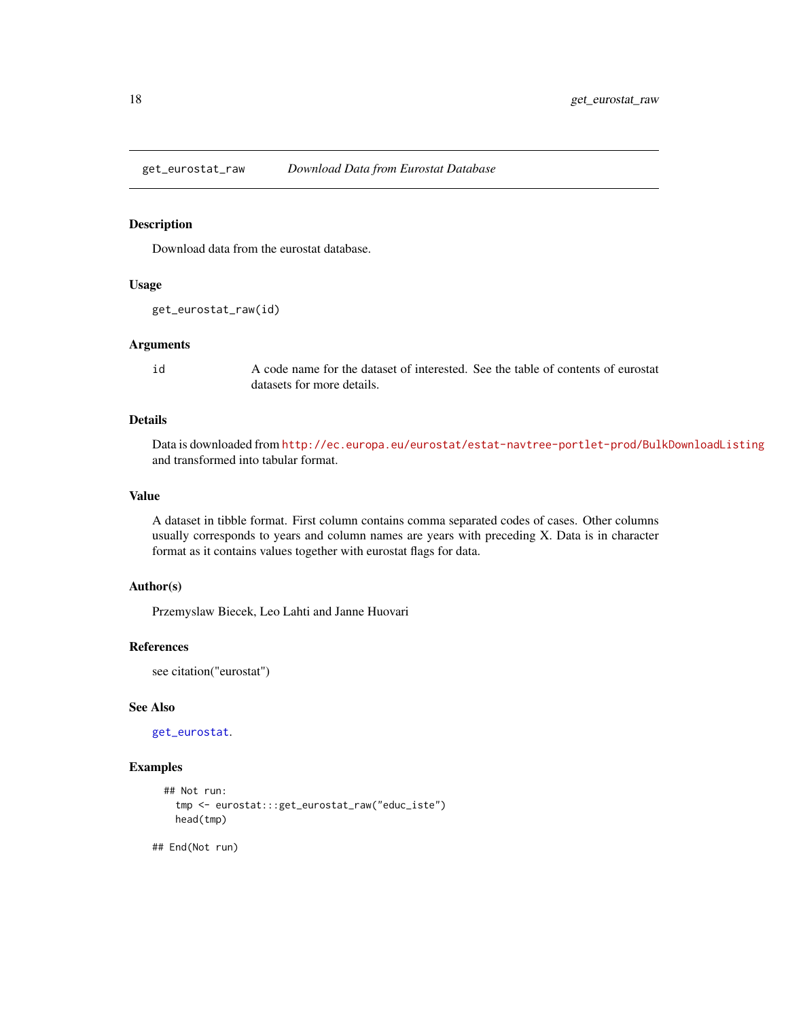<span id="page-17-0"></span>

#### Description

Download data from the eurostat database.

#### Usage

get\_eurostat\_raw(id)

#### Arguments

id A code name for the dataset of interested. See the table of contents of eurostat datasets for more details.

# Details

Data is downloaded from <http://ec.europa.eu/eurostat/estat-navtree-portlet-prod/BulkDownloadListing> and transformed into tabular format.

# Value

A dataset in tibble format. First column contains comma separated codes of cases. Other columns usually corresponds to years and column names are years with preceding X. Data is in character format as it contains values together with eurostat flags for data.

# Author(s)

Przemyslaw Biecek, Leo Lahti and Janne Huovari

#### References

see citation("eurostat")

# See Also

[get\\_eurostat](#page-10-1).

### Examples

```
## Not run:
  tmp <- eurostat:::get_eurostat_raw("educ_iste")
  head(tmp)
```
## End(Not run)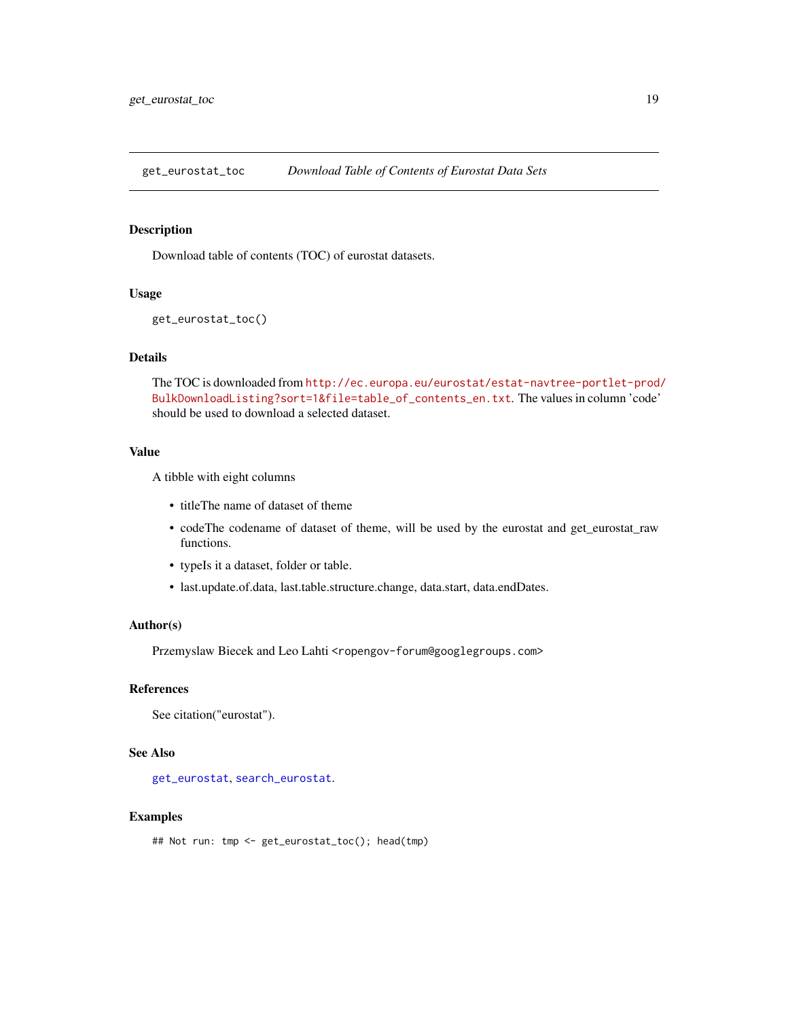<span id="page-18-1"></span><span id="page-18-0"></span>get\_eurostat\_toc *Download Table of Contents of Eurostat Data Sets*

#### Description

Download table of contents (TOC) of eurostat datasets.

#### Usage

```
get_eurostat_toc()
```
# Details

The TOC is downloaded from [http://ec.europa.eu/eurostat/estat-navtree-portlet-prod/](http://ec.europa.eu/eurostat/estat-navtree-portlet-prod/BulkDownloadListing?sort=1&file=table_of_contents_en.txt) [BulkDownloadListing?sort=1&file=table\\_of\\_contents\\_en.txt](http://ec.europa.eu/eurostat/estat-navtree-portlet-prod/BulkDownloadListing?sort=1&file=table_of_contents_en.txt). The values in column 'code' should be used to download a selected dataset.

#### Value

A tibble with eight columns

- titleThe name of dataset of theme
- codeThe codename of dataset of theme, will be used by the eurostat and get\_eurostat\_raw functions.
- typeIs it a dataset, folder or table.
- last.update.of.data, last.table.structure.change, data.start, data.endDates.

## Author(s)

Przemyslaw Biecek and Leo Lahti <ropengov-forum@googlegroups.com>

#### References

See citation("eurostat").

## See Also

[get\\_eurostat](#page-10-1), [search\\_eurostat](#page-25-1).

#### Examples

## Not run: tmp <- get\_eurostat\_toc(); head(tmp)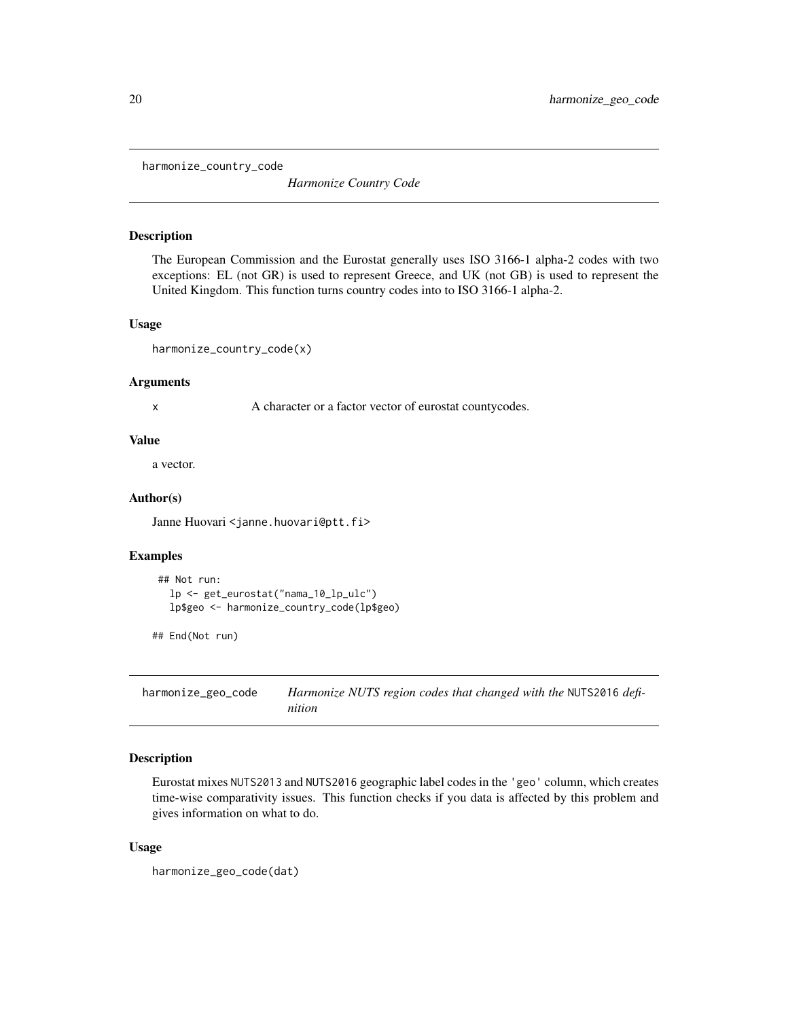<span id="page-19-0"></span>harmonize\_country\_code

*Harmonize Country Code*

#### Description

The European Commission and the Eurostat generally uses ISO 3166-1 alpha-2 codes with two exceptions: EL (not GR) is used to represent Greece, and UK (not GB) is used to represent the United Kingdom. This function turns country codes into to ISO 3166-1 alpha-2.

#### Usage

harmonize\_country\_code(x)

#### Arguments

x A character or a factor vector of eurostat countycodes.

#### Value

a vector.

#### Author(s)

Janne Huovari <janne.huovari@ptt.fi>

#### Examples

```
## Not run:
  lp <- get_eurostat("nama_10_lp_ulc")
  lp$geo <- harmonize_country_code(lp$geo)
```

```
## End(Not run)
```
<span id="page-19-1"></span>harmonize\_geo\_code *Harmonize NUTS region codes that changed with the* NUTS2016 *definition*

# Description

Eurostat mixes NUTS2013 and NUTS2016 geographic label codes in the 'geo' column, which creates time-wise comparativity issues. This function checks if you data is affected by this problem and gives information on what to do.

#### Usage

```
harmonize_geo_code(dat)
```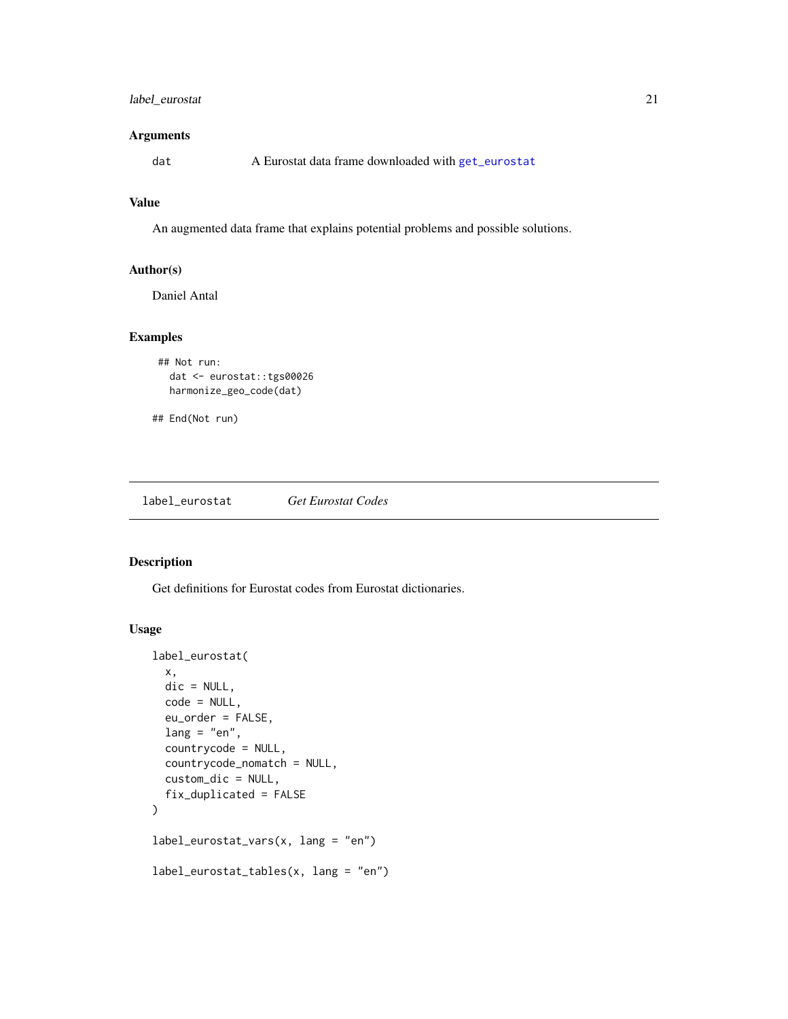# <span id="page-20-0"></span>label\_eurostat 21

# Arguments

dat A Eurostat data frame downloaded with [get\\_eurostat](#page-10-1)

# Value

An augmented data frame that explains potential problems and possible solutions.

# Author(s)

Daniel Antal

# Examples

```
## Not run:
 dat <- eurostat::tgs00026
 harmonize_geo_code(dat)
```

```
## End(Not run)
```
<span id="page-20-1"></span>label\_eurostat *Get Eurostat Codes*

## Description

Get definitions for Eurostat codes from Eurostat dictionaries.

# Usage

```
label_eurostat(
  x,
 dic = NULL,
  code = NULL,
  eu_order = FALSE,
  lang = "en",countrycode = NULL,
  countrycode_nomatch = NULL,
  custom_dic = NULL,
  fix_duplicated = FALSE
\mathcal{L}label_eurostat_vars(x, lang = "en")
label_eurostat_tables(x, lang = "en")
```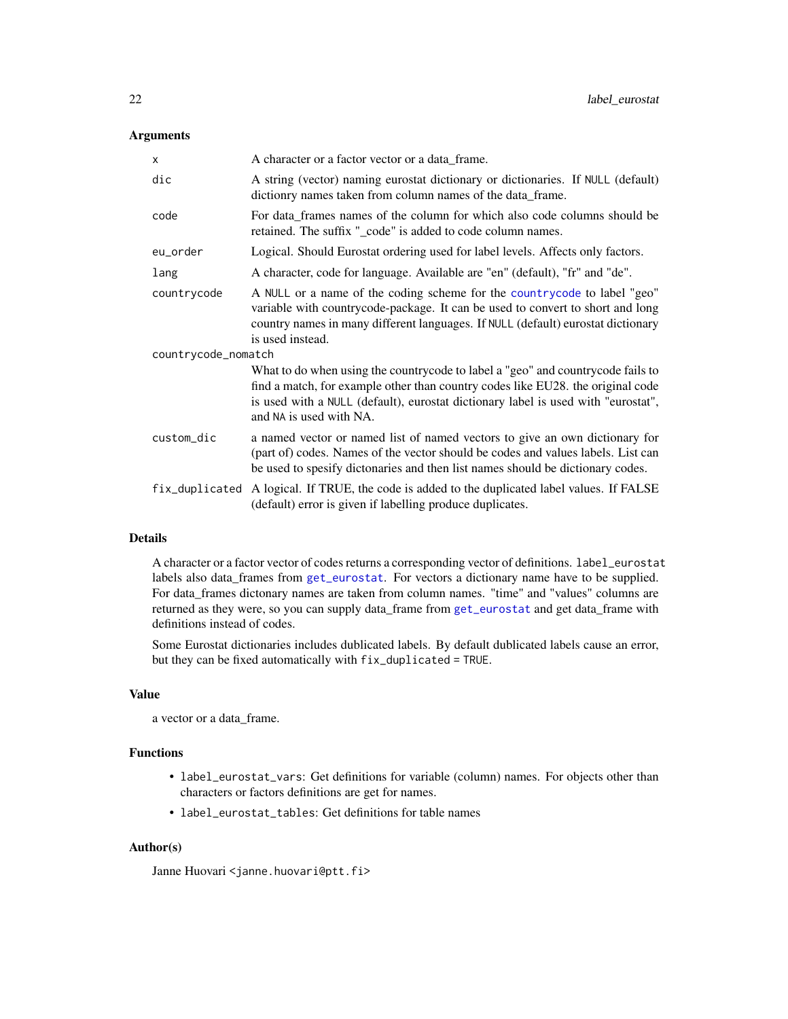### <span id="page-21-0"></span>Arguments

| X                   | A character or a factor vector or a data_frame.                                                                                                                                                                                                                                    |  |
|---------------------|------------------------------------------------------------------------------------------------------------------------------------------------------------------------------------------------------------------------------------------------------------------------------------|--|
| dic                 | A string (vector) naming eurostat dictionary or dictionaries. If NULL (default)<br>dictionry names taken from column names of the data_frame.                                                                                                                                      |  |
| code                | For data_frames names of the column for which also code columns should be<br>retained. The suffix "_code" is added to code column names.                                                                                                                                           |  |
| eu_order            | Logical. Should Eurostat ordering used for label levels. Affects only factors.                                                                                                                                                                                                     |  |
| lang                | A character, code for language. Available are "en" (default), "fr" and "de".                                                                                                                                                                                                       |  |
| countrycode         | A NULL or a name of the coding scheme for the countrycode to label "geo"<br>variable with countrycode-package. It can be used to convert to short and long<br>country names in many different languages. If NULL (default) eurostat dictionary<br>is used instead.                 |  |
| countrycode_nomatch |                                                                                                                                                                                                                                                                                    |  |
|                     | What to do when using the countrycode to label a "geo" and countrycode fails to<br>find a match, for example other than country codes like EU28. the original code<br>is used with a NULL (default), eurostat dictionary label is used with "eurostat",<br>and NA is used with NA. |  |
| custom_dic          | a named vector or named list of named vectors to give an own dictionary for<br>(part of) codes. Names of the vector should be codes and values labels. List can<br>be used to spesify dictonaries and then list names should be dictionary codes.                                  |  |
| fix_duplicated      | A logical. If TRUE, the code is added to the duplicated label values. If FALSE<br>(default) error is given if labelling produce duplicates.                                                                                                                                        |  |

# Details

A character or a factor vector of codes returns a corresponding vector of definitions. label\_eurostat labels also data\_frames from [get\\_eurostat](#page-10-1). For vectors a dictionary name have to be supplied. For data\_frames dictonary names are taken from column names. "time" and "values" columns are returned as they were, so you can supply data\_frame from [get\\_eurostat](#page-10-1) and get data\_frame with definitions instead of codes.

Some Eurostat dictionaries includes dublicated labels. By default dublicated labels cause an error, but they can be fixed automatically with fix\_duplicated = TRUE.

# Value

a vector or a data\_frame.

# Functions

- label\_eurostat\_vars: Get definitions for variable (column) names. For objects other than characters or factors definitions are get for names.
- label\_eurostat\_tables: Get definitions for table names

#### Author(s)

Janne Huovari <janne.huovari@ptt.fi>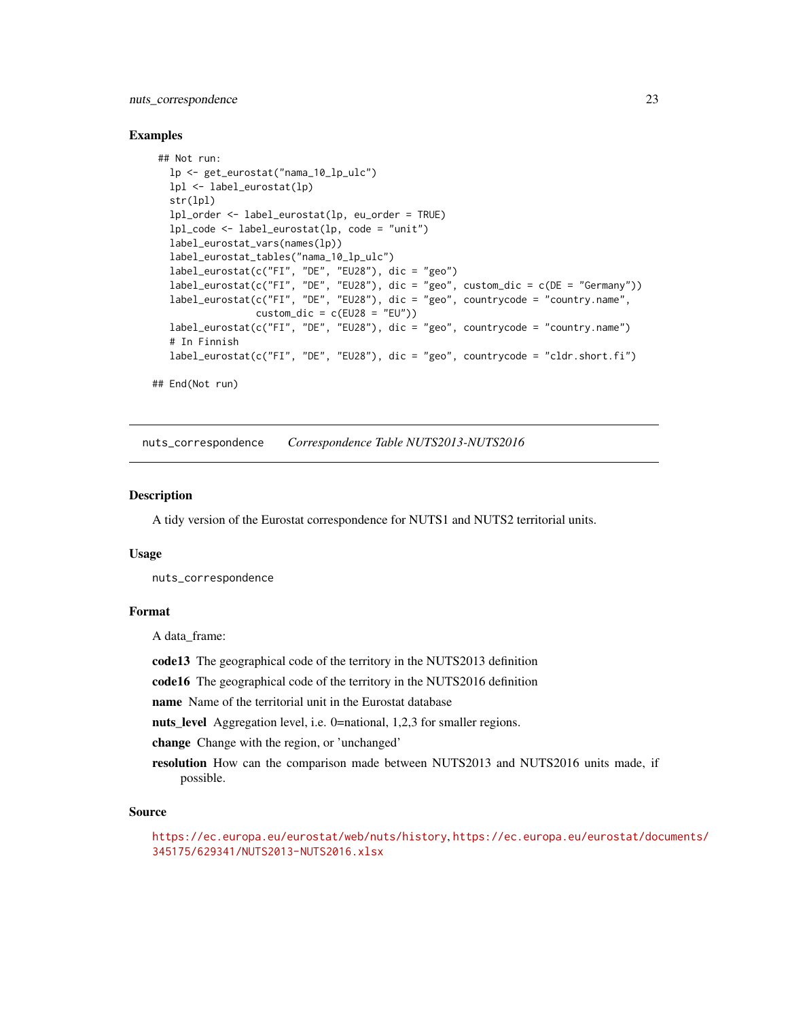# <span id="page-22-0"></span>nuts\_correspondence 23

#### Examples

```
## Not run:
  lp <- get_eurostat("nama_10_lp_ulc")
  lpl <- label_eurostat(lp)
  str(lpl)
  lpl_order <- label_eurostat(lp, eu_order = TRUE)
  lpl_code <- label_eurostat(lp, code = "unit")
  label_eurostat_vars(names(lp))
  label_eurostat_tables("nama_10_lp_ulc")
   label_eurostat(c("FI", "DE", "EU28"), dic = "geo")
   label_eurostat(c("FI", "DE", "EU28"), dic = "geo", custom_dic = c(DE = "Germany"))
   label_eurostat(c("FI", "DE", "EU28"), dic = "geo", countrycode = "country.name",
                  \text{custom\_dic} = \text{c}(\text{EU28} = \text{"EU"})label_eurostat(c("FI", "DE", "EU28"), dic = "geo", countrycode = "country.name")
  # In Finnish
  label_euvostat(c("FI", "DE", "EU28"), dic = "geo", countrycode = "cldr.short.fi")## End(Not run)
```
nuts\_correspondence *Correspondence Table NUTS2013-NUTS2016*

#### Description

A tidy version of the Eurostat correspondence for NUTS1 and NUTS2 territorial units.

#### Usage

nuts\_correspondence

#### Format

A data\_frame:

code13 The geographical code of the territory in the NUTS2013 definition

code16 The geographical code of the territory in the NUTS2016 definition

name Name of the territorial unit in the Eurostat database

nuts\_level Aggregation level, i.e. 0=national, 1,2,3 for smaller regions.

change Change with the region, or 'unchanged'

resolution How can the comparison made between NUTS2013 and NUTS2016 units made, if possible.

#### Source

<https://ec.europa.eu/eurostat/web/nuts/history>, [https://ec.europa.eu/eurostat/doc](https://ec.europa.eu/eurostat/documents/345175/629341/NUTS2013-NUTS2016.xlsx)uments/ [345175/629341/NUTS2013-NUTS2016.xlsx](https://ec.europa.eu/eurostat/documents/345175/629341/NUTS2013-NUTS2016.xlsx)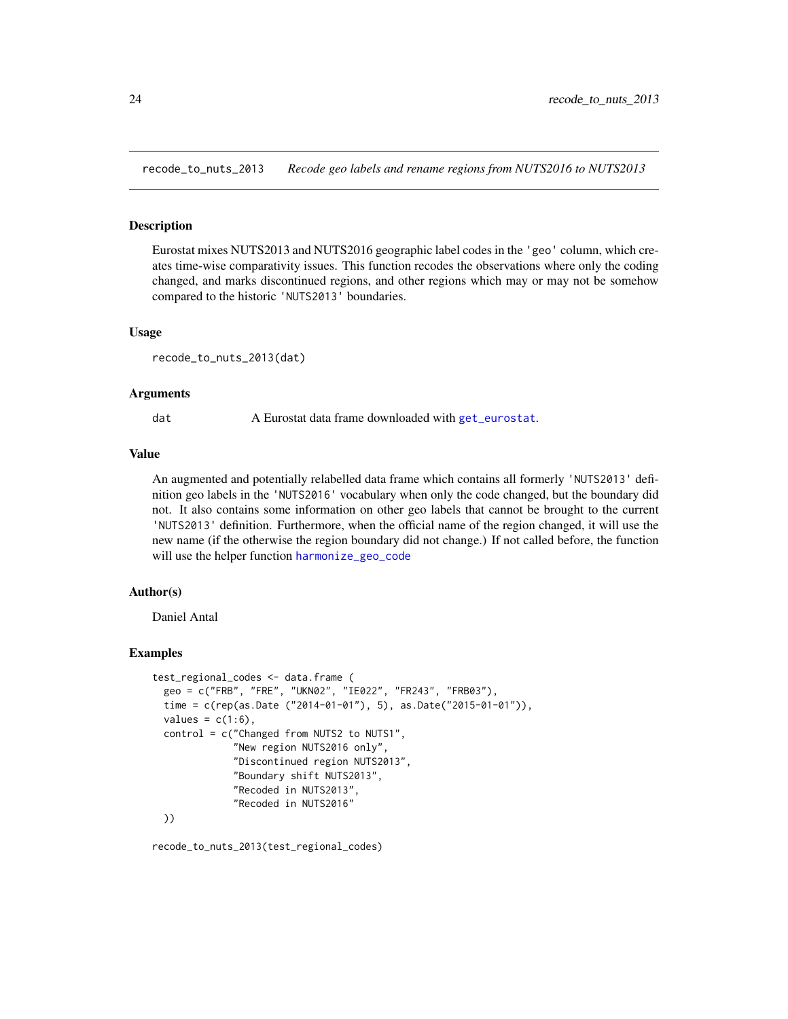<span id="page-23-0"></span>recode\_to\_nuts\_2013 *Recode geo labels and rename regions from NUTS2016 to NUTS2013*

# **Description**

Eurostat mixes NUTS2013 and NUTS2016 geographic label codes in the 'geo' column, which creates time-wise comparativity issues. This function recodes the observations where only the coding changed, and marks discontinued regions, and other regions which may or may not be somehow compared to the historic 'NUTS2013' boundaries.

#### Usage

```
recode_to_nuts_2013(dat)
```
#### Arguments

dat A Eurostat data frame downloaded with [get\\_eurostat](#page-10-1).

#### Value

An augmented and potentially relabelled data frame which contains all formerly 'NUTS2013' definition geo labels in the 'NUTS2016' vocabulary when only the code changed, but the boundary did not. It also contains some information on other geo labels that cannot be brought to the current 'NUTS2013' definition. Furthermore, when the official name of the region changed, it will use the new name (if the otherwise the region boundary did not change.) If not called before, the function will use the helper function [harmonize\\_geo\\_code](#page-19-1)

#### Author(s)

Daniel Antal

#### Examples

```
test_regional_codes <- data.frame (
 geo = c("FRB", "FRE", "UKN02", "IE022", "FR243", "FRB03"),
 time = c(rep(as.Date ("2014-01-01"), 5), as.Date("2015-01-01")),
 values = c(1:6),
 control = c("Changed from NUTS2 to NUTS1",
              "New region NUTS2016 only",
              "Discontinued region NUTS2013",
              "Boundary shift NUTS2013",
              "Recoded in NUTS2013",
              "Recoded in NUTS2016"
 ))
```
recode\_to\_nuts\_2013(test\_regional\_codes)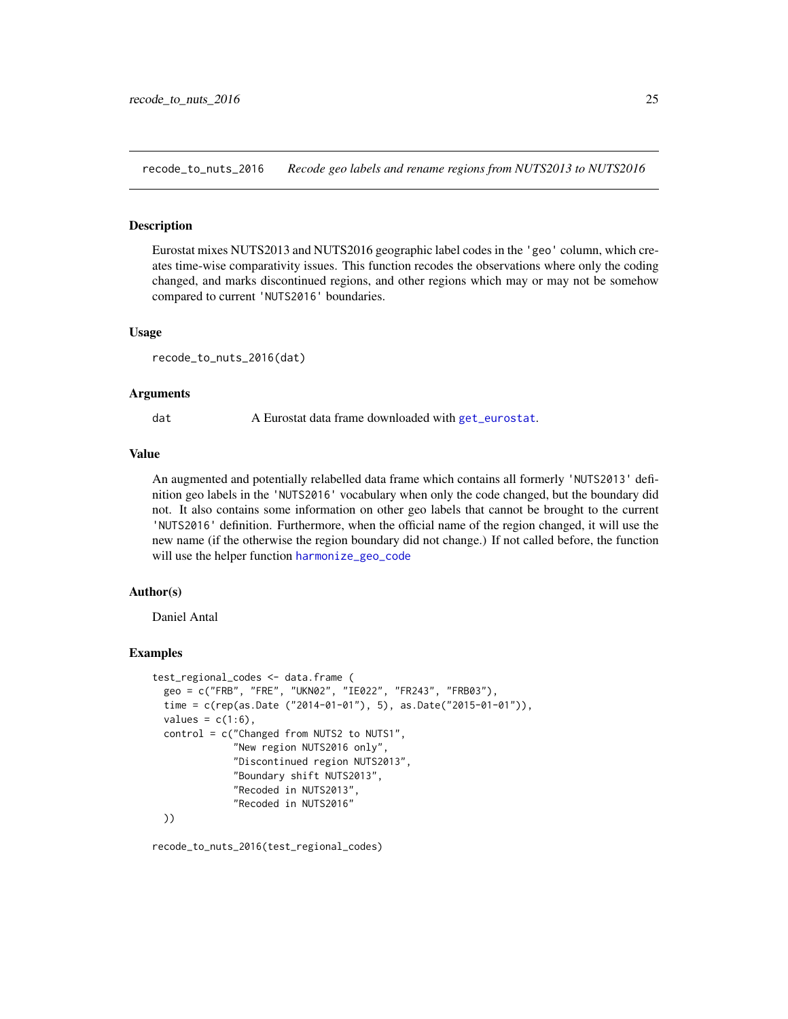<span id="page-24-0"></span>recode\_to\_nuts\_2016 *Recode geo labels and rename regions from NUTS2013 to NUTS2016*

# **Description**

Eurostat mixes NUTS2013 and NUTS2016 geographic label codes in the 'geo' column, which creates time-wise comparativity issues. This function recodes the observations where only the coding changed, and marks discontinued regions, and other regions which may or may not be somehow compared to current 'NUTS2016' boundaries.

#### Usage

```
recode_to_nuts_2016(dat)
```
#### Arguments

dat A Eurostat data frame downloaded with [get\\_eurostat](#page-10-1).

#### Value

An augmented and potentially relabelled data frame which contains all formerly 'NUTS2013' definition geo labels in the 'NUTS2016' vocabulary when only the code changed, but the boundary did not. It also contains some information on other geo labels that cannot be brought to the current 'NUTS2016' definition. Furthermore, when the official name of the region changed, it will use the new name (if the otherwise the region boundary did not change.) If not called before, the function will use the helper function [harmonize\\_geo\\_code](#page-19-1)

#### Author(s)

Daniel Antal

#### Examples

```
test_regional_codes <- data.frame (
 geo = c("FRB", "FRE", "UKN02", "IE022", "FR243", "FRB03"),
 time = c(rep(as.Date ("2014-01-01"), 5), as.Date("2015-01-01")),
 values = c(1:6),
 control = c("Changed from NUTS2 to NUTS1",
              "New region NUTS2016 only",
              "Discontinued region NUTS2013",
              "Boundary shift NUTS2013",
              "Recoded in NUTS2013",
              "Recoded in NUTS2016"
 ))
```
recode\_to\_nuts\_2016(test\_regional\_codes)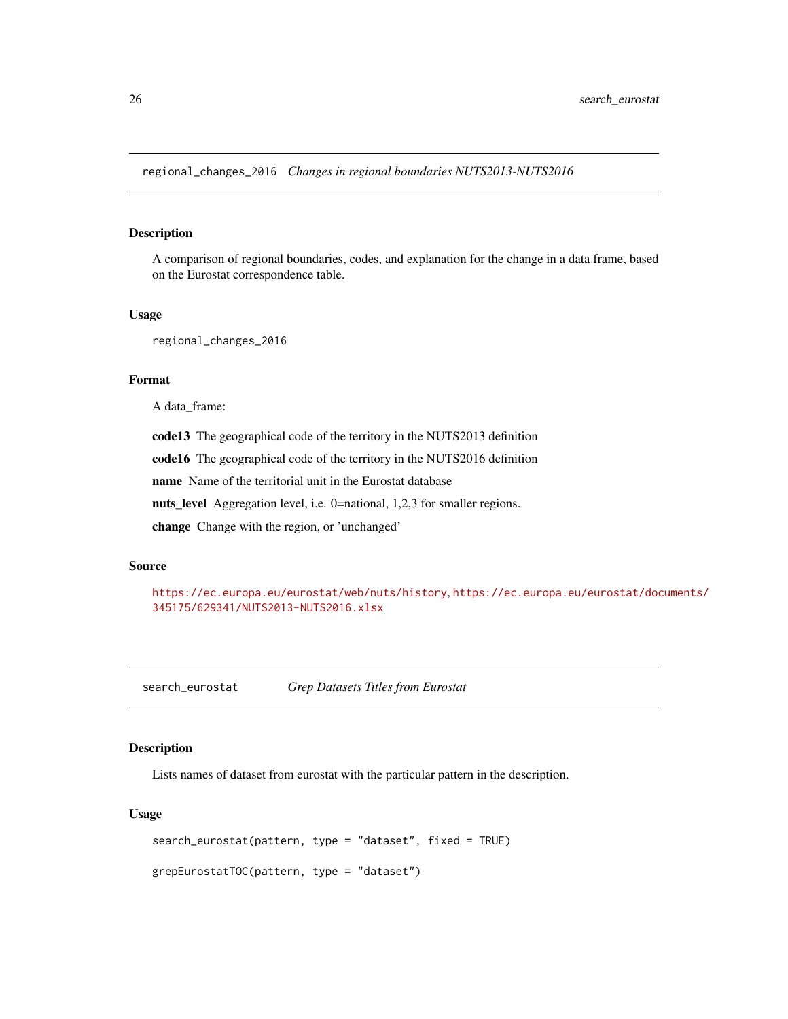<span id="page-25-0"></span>regional\_changes\_2016 *Changes in regional boundaries NUTS2013-NUTS2016*

# Description

A comparison of regional boundaries, codes, and explanation for the change in a data frame, based on the Eurostat correspondence table.

#### Usage

regional\_changes\_2016

#### Format

A data\_frame:

code13 The geographical code of the territory in the NUTS2013 definition

code16 The geographical code of the territory in the NUTS2016 definition

name Name of the territorial unit in the Eurostat database

nuts\_level Aggregation level, i.e. 0=national, 1,2,3 for smaller regions.

change Change with the region, or 'unchanged'

# Source

<https://ec.europa.eu/eurostat/web/nuts/history>, [https://ec.europa.eu/eurostat/doc](https://ec.europa.eu/eurostat/documents/345175/629341/NUTS2013-NUTS2016.xlsx)uments/ [345175/629341/NUTS2013-NUTS2016.xlsx](https://ec.europa.eu/eurostat/documents/345175/629341/NUTS2013-NUTS2016.xlsx)

<span id="page-25-1"></span>search\_eurostat *Grep Datasets Titles from Eurostat*

#### Description

Lists names of dataset from eurostat with the particular pattern in the description.

#### Usage

```
search_eurostat(pattern, type = "dataset", fixed = TRUE)
```

```
grepEurostatTOC(pattern, type = "dataset")
```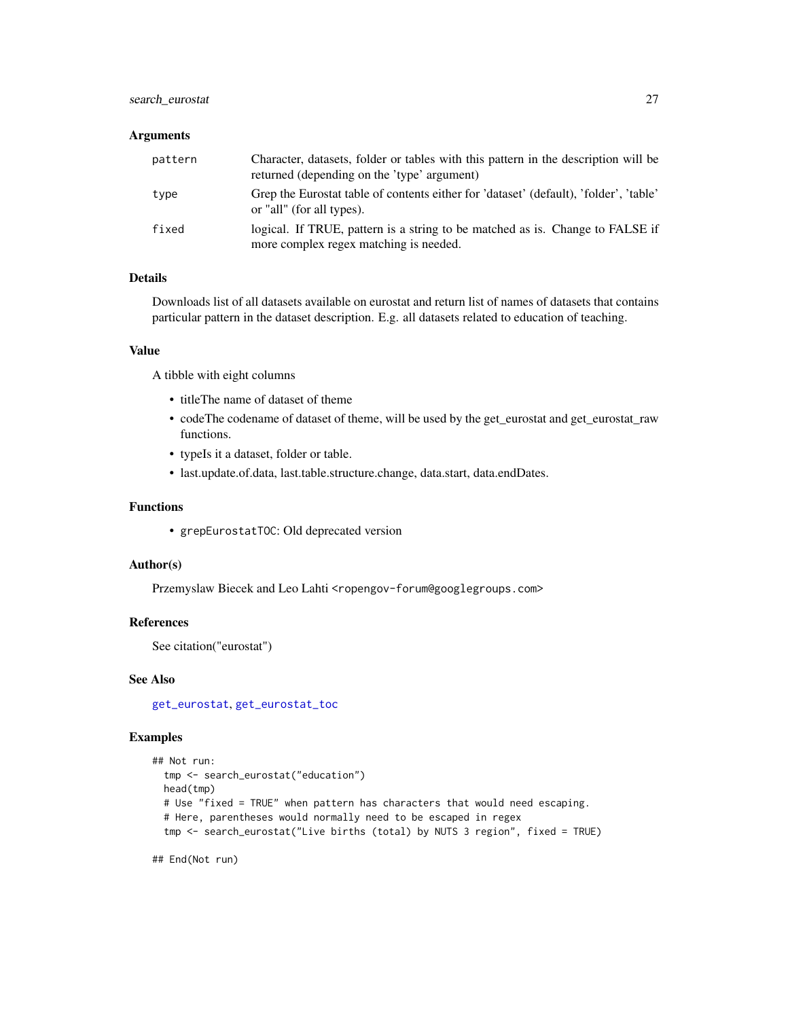# <span id="page-26-0"></span>search\_eurostat 27

#### Arguments

| pattern | Character, datasets, folder or tables with this pattern in the description will be<br>returned (depending on the 'type' argument) |
|---------|-----------------------------------------------------------------------------------------------------------------------------------|
| type    | Grep the Eurostat table of contents either for 'dataset' (default), 'folder', 'table'<br>or "all" (for all types).                |
| fixed   | logical. If TRUE, pattern is a string to be matched as is. Change to FALSE if<br>more complex regex matching is needed.           |

# Details

Downloads list of all datasets available on eurostat and return list of names of datasets that contains particular pattern in the dataset description. E.g. all datasets related to education of teaching.

#### Value

A tibble with eight columns

- titleThe name of dataset of theme
- codeThe codename of dataset of theme, will be used by the get\_eurostat and get\_eurostat\_raw functions.
- typeIs it a dataset, folder or table.
- last.update.of.data, last.table.structure.change, data.start, data.endDates.

#### Functions

• grepEurostatTOC: Old deprecated version

#### Author(s)

Przemyslaw Biecek and Leo Lahti <ropengov-forum@googlegroups.com>

#### References

See citation("eurostat")

# See Also

[get\\_eurostat](#page-10-1), [get\\_eurostat\\_toc](#page-18-1)

#### Examples

```
## Not run:
 tmp <- search_eurostat("education")
 head(tmp)
 # Use "fixed = TRUE" when pattern has characters that would need escaping.
 # Here, parentheses would normally need to be escaped in regex
 tmp <- search_eurostat("Live births (total) by NUTS 3 region", fixed = TRUE)
```
## End(Not run)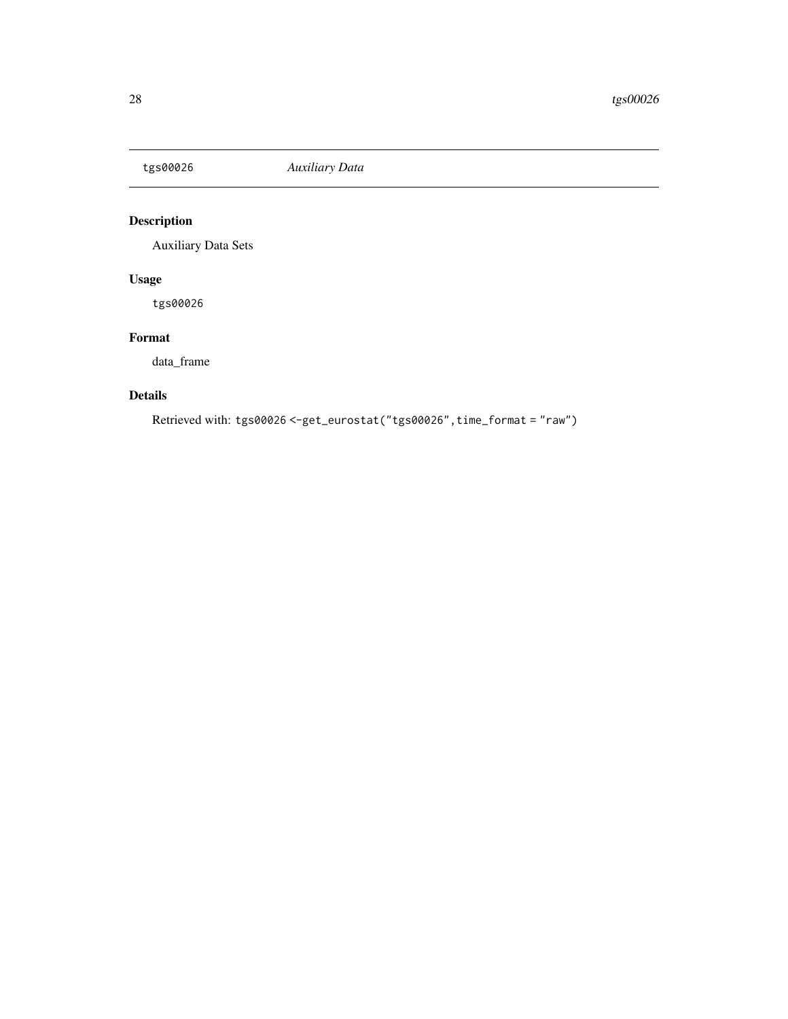<span id="page-27-0"></span>

# Description

Auxiliary Data Sets

# Usage

tgs00026

# Format

data\_frame

# Details

Retrieved with: tgs00026 <-get\_eurostat("tgs00026",time\_format = "raw")